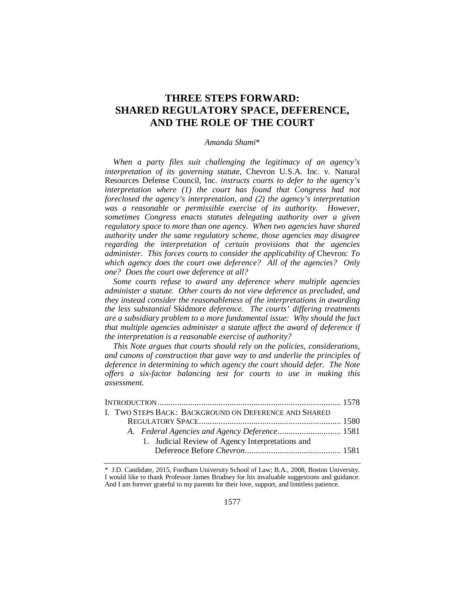# **THREE STEPS FORWARD: SHARED REGULATORY SPACE, DEFERENCE, AND THE ROLE OF THE COURT**

# *Amanda Shami*\*

*When a party files suit challenging the legitimacy of an agency's interpretation of its governing statute,* Chevron U.S.A. Inc. v. Natural Resources Defense Council, Inc. *instructs courts to defer to the agency's interpretation where (1) the court has found that Congress had not foreclosed the agency's interpretation, and (2) the agency's interpretation was a reasonable or permissible exercise of its authority. However, sometimes Congress enacts statutes delegating authority over a given regulatory space to more than one agency. When two agencies have shared authority under the same regulatory scheme, those agencies may disagree regarding the interpretation of certain provisions that the agencies administer. This forces courts to consider the applicability of* Chevron*: To which agency does the court owe deference? All of the agencies? Only one? Does the court owe deference at all?*

*Some courts refuse to award any deference where multiple agencies administer a statute. Other courts do not view deference as precluded, and they instead consider the reasonableness of the interpretations in awarding the less substantial* Skidmore *deference. The courts' differing treatments are a subsidiary problem to a more fundamental issue: Why should the fact that multiple agencies administer a statute affect the award of deference if the interpretation is a reasonable exercise of authority?*

*This Note argues that courts should rely on the policies, considerations, and canons of construction that gave way to and underlie the principles of deference in determining to which agency the court should defer. The Note offers a six-factor balancing test for courts to use in making this assessment.* 

|  | I. TWO STEPS BACK: BACKGROUND ON DEFERENCE AND SHARED |  |  |  |  |
|--|-------------------------------------------------------|--|--|--|--|
|  |                                                       |  |  |  |  |
|  |                                                       |  |  |  |  |
|  | 1. Judicial Review of Agency Interpretations and      |  |  |  |  |
|  |                                                       |  |  |  |  |
|  |                                                       |  |  |  |  |

<sup>\*</sup> J.D. Candidate, 2015, Fordham University School of Law; B.A., 2008, Boston University. I would like to thank Professor James Brudney for his invaluable suggestions and guidance. And I am forever grateful to my parents for their love, support, and limitless patience.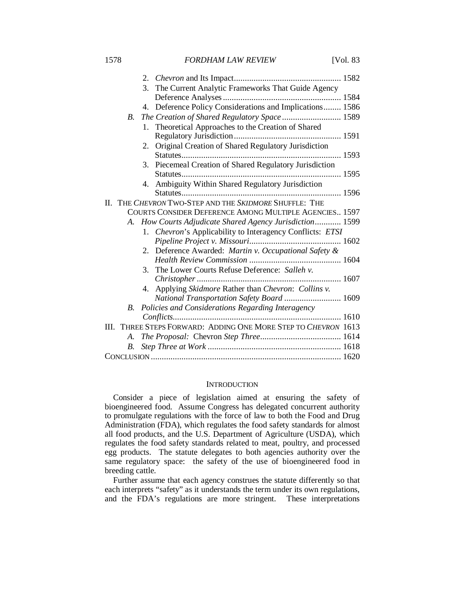1578 *FORDHAM LAW REVIEW* [Vol. 83

|                                                        |             |    | 3. The Current Analytic Frameworks That Guide Agency           |  |  |
|--------------------------------------------------------|-------------|----|----------------------------------------------------------------|--|--|
|                                                        |             |    |                                                                |  |  |
|                                                        |             |    | 4. Deference Policy Considerations and Implications 1586       |  |  |
|                                                        | <i>B</i> .  |    | The Creation of Shared Regulatory Space 1589                   |  |  |
|                                                        |             |    | 1. Theoretical Approaches to the Creation of Shared            |  |  |
|                                                        |             |    |                                                                |  |  |
|                                                        |             | 2. | Original Creation of Shared Regulatory Jurisdiction            |  |  |
|                                                        |             |    |                                                                |  |  |
|                                                        |             |    | 3. Piecemeal Creation of Shared Regulatory Jurisdiction        |  |  |
|                                                        |             |    |                                                                |  |  |
|                                                        |             |    | 4. Ambiguity Within Shared Regulatory Jurisdiction             |  |  |
|                                                        |             |    |                                                                |  |  |
| П.                                                     |             |    | THE CHEVRON TWO-STEP AND THE SKIDMORE SHUFFLE: THE             |  |  |
| COURTS CONSIDER DEFERENCE AMONG MULTIPLE AGENCIES 1597 |             |    |                                                                |  |  |
|                                                        |             |    | A. How Courts Adjudicate Shared Agency Jurisdiction 1599       |  |  |
|                                                        |             |    | 1. Chevron's Applicability to Interagency Conflicts: ETSI      |  |  |
|                                                        |             |    |                                                                |  |  |
|                                                        |             |    | 2. Deference Awarded: Martin v. Occupational Safety &          |  |  |
|                                                        |             |    |                                                                |  |  |
|                                                        |             | 3. | The Lower Courts Refuse Deference: Salleh v.                   |  |  |
|                                                        |             |    |                                                                |  |  |
|                                                        |             |    | 4. Applying Skidmore Rather than Chevron: Collins v.           |  |  |
|                                                        |             |    | National Transportation Safety Board  1609                     |  |  |
|                                                        | B.          |    | Policies and Considerations Regarding Interagency              |  |  |
|                                                        |             |    |                                                                |  |  |
|                                                        |             |    | III. THREE STEPS FORWARD: ADDING ONE MORE STEP TO CHEVRON 1613 |  |  |
|                                                        |             |    |                                                                |  |  |
|                                                        | $B_{\cdot}$ |    |                                                                |  |  |
|                                                        |             |    |                                                                |  |  |

# **INTRODUCTION**

Consider a piece of legislation aimed at ensuring the safety of bioengineered food. Assume Congress has delegated concurrent authority to promulgate regulations with the force of law to both the Food and Drug Administration (FDA), which regulates the food safety standards for almost all food products, and the U.S. Department of Agriculture (USDA), which regulates the food safety standards related to meat, poultry, and processed egg products. The statute delegates to both agencies authority over the same regulatory space: the safety of the use of bioengineered food in breeding cattle.

Further assume that each agency construes the statute differently so that each interprets "safety" as it understands the term under its own regulations, and the FDA's regulations are more stringent. These interpretations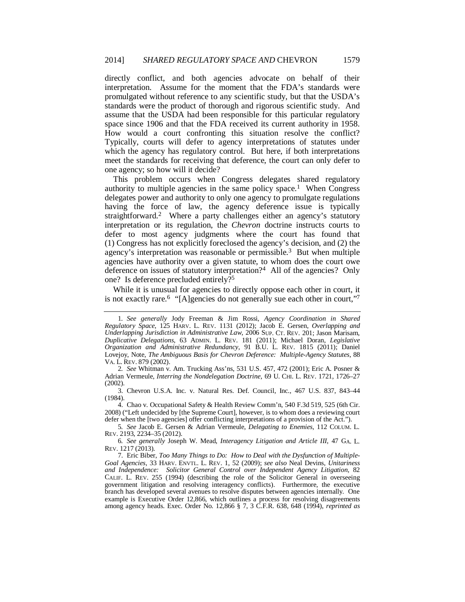directly conflict, and both agencies advocate on behalf of their interpretation. Assume for the moment that the FDA's standards were promulgated without reference to any scientific study, but that the USDA's standards were the product of thorough and rigorous scientific study. And assume that the USDA had been responsible for this particular regulatory space since 1906 and that the FDA received its current authority in 1958. How would a court confronting this situation resolve the conflict? Typically, courts will defer to agency interpretations of statutes under which the agency has regulatory control. But here, if both interpretations meet the standards for receiving that deference, the court can only defer to one agency; so how will it decide?

This problem occurs when Congress delegates shared regulatory authority to multiple agencies in the same policy space.<sup>1</sup> When Congress delegates power and authority to only one agency to promulgate regulations having the force of law, the agency deference issue is typically straightforward.2 Where a party challenges either an agency's statutory interpretation or its regulation, the *Chevron* doctrine instructs courts to defer to most agency judgments where the court has found that (1) Congress has not explicitly foreclosed the agency's decision, and (2) the agency's interpretation was reasonable or permissible.3 But when multiple agencies have authority over a given statute, to whom does the court owe deference on issues of statutory interpretation?<sup>4</sup> All of the agencies? Only one? Is deference precluded entirely?5

While it is unusual for agencies to directly oppose each other in court, it is not exactly rare.<sup>6</sup> "[A]gencies do not generally sue each other in court,"<sup>7</sup>

5*. See* Jacob E. Gersen & Adrian Vermeule, *Delegating to Enemies*, 112 COLUM. L. REV. 2193, 2234–35 (2012).

6*. See generally* Joseph W. Mead, *Interagency Litigation and Article III*, 47 GA. L. REV. 1217 (2013).

<sup>1</sup>*. See generally* Jody Freeman & Jim Rossi, *Agency Coordination in Shared Regulatory Space*, 125 HARV. L. REV. 1131 (2012); Jacob E. Gersen, *Overlapping and Underlapping Jurisdiction in Administrative Law*, 2006 SUP. CT. REV. 201; Jason Marisam, *Duplicative Delegations*, 63 ADMIN. L. REV. 181 (2011); Michael Doran, *Legislative Organization and Administrative Redundancy*, 91 B.U. L. REV. 1815 (2011); Daniel Lovejoy, Note, *The Ambiguous Basis for Chevron Deference: Multiple-Agency Statutes*, 88 VA. L. REV. 879 (2002).

<sup>2</sup>*. See* Whitman v. Am. Trucking Ass'ns, 531 U.S. 457, 472 (2001); Eric A. Posner & Adrian Vermeule, *Interring the Nondelegation Doctrine*, 69 U. CHI. L. REV. 1721, 1726–27 (2002).

 <sup>3.</sup> Chevron U.S.A. Inc. v. Natural Res. Def. Council, Inc., 467 U.S. 837, 843–44 (1984).

 <sup>4.</sup> Chao v. Occupational Safety & Health Review Comm'n, 540 F.3d 519, 525 (6th Cir. 2008) ("Left undecided by [the Supreme Court], however, is to whom does a reviewing court defer when the [two agencies] offer conflicting interpretations of a provision of the Act.").

 <sup>7.</sup> Eric Biber, *Too Many Things to Do: How to Deal with the Dysfunction of Multiple-Goal Agencies*, 33 HARV. ENVTL. L. REV. 1, 52 (2009); *see also* Neal Devins, *Unitariness and Independence: Solicitor General Control over Independent Agency Litigation*, 82 CALIF. L. REV. 255 (1994) (describing the role of the Solicitor General in overseeing government litigation and resolving interagency conflicts). Furthermore, the executive branch has developed several avenues to resolve disputes between agencies internally. One example is Executive Order 12,866, which outlines a process for resolving disagreements among agency heads. Exec. Order No. 12,866 § 7, 3 C.F.R. 638, 648 (1994), *reprinted as*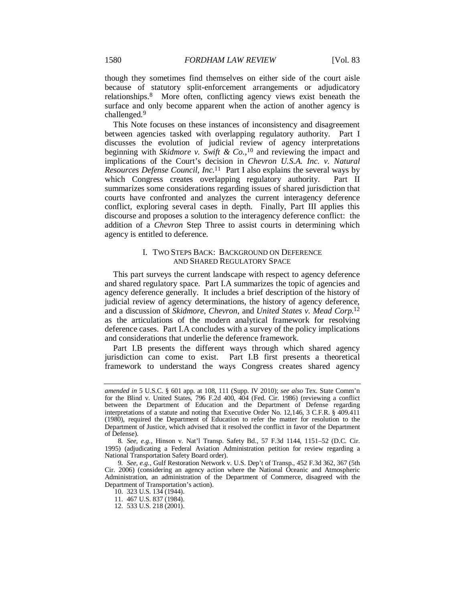though they sometimes find themselves on either side of the court aisle because of statutory split-enforcement arrangements or adjudicatory relationships.8 More often, conflicting agency views exist beneath the surface and only become apparent when the action of another agency is challenged.9

This Note focuses on these instances of inconsistency and disagreement between agencies tasked with overlapping regulatory authority. Part I discusses the evolution of judicial review of agency interpretations beginning with *Skidmore v. Swift & Co.*, 10 and reviewing the impact and implications of the Court's decision in *Chevron U.S.A. Inc. v. Natural Resources Defense Council, Inc.*11 Part I also explains the several ways by which Congress creates overlapping regulatory authority. Part II summarizes some considerations regarding issues of shared jurisdiction that courts have confronted and analyzes the current interagency deference conflict, exploring several cases in depth. Finally, Part III applies this discourse and proposes a solution to the interagency deference conflict: the addition of a *Chevron* Step Three to assist courts in determining which agency is entitled to deference.

# I. TWO STEPS BACK: BACKGROUND ON DEFERENCE AND SHARED REGULATORY SPACE

This part surveys the current landscape with respect to agency deference and shared regulatory space. Part I.A summarizes the topic of agencies and agency deference generally. It includes a brief description of the history of judicial review of agency determinations, the history of agency deference, and a discussion of *Skidmore*, *Chevron*, and *United States v. Mead Corp.*<sup>12</sup> as the articulations of the modern analytical framework for resolving deference cases. Part I.A concludes with a survey of the policy implications and considerations that underlie the deference framework.

Part I.B presents the different ways through which shared agency jurisdiction can come to exist. Part I.B first presents a theoretical framework to understand the ways Congress creates shared agency

*amended in* 5 U.S.C. § 601 app. at 108, 111 (Supp. IV 2010); *see also* Tex. State Comm'n for the Blind v. United States, 796 F.2d 400, 404 (Fed. Cir. 1986) (reviewing a conflict between the Department of Education and the Department of Defense regarding interpretations of a statute and noting that Executive Order No. 12,146, 3 C.F.R. § 409.411 (1980), required the Department of Education to refer the matter for resolution to the Department of Justice, which advised that it resolved the conflict in favor of the Department of Defense).

<sup>8</sup>*. See, e.g.*, Hinson v. Nat'l Transp. Safety Bd., 57 F.3d 1144, 1151–52 (D.C. Cir. 1995) (adjudicating a Federal Aviation Administration petition for review regarding a National Transportation Safety Board order).

<sup>9</sup>*. See, e.g.*, Gulf Restoration Network v. U.S. Dep't of Transp., 452 F.3d 362, 367 (5th Cir. 2006) (considering an agency action where the National Oceanic and Atmospheric Administration, an administration of the Department of Commerce, disagreed with the Department of Transportation's action).

 <sup>10. 323</sup> U.S. 134 (1944).

 <sup>11. 467</sup> U.S. 837 (1984).

 <sup>12. 533</sup> U.S. 218 (2001).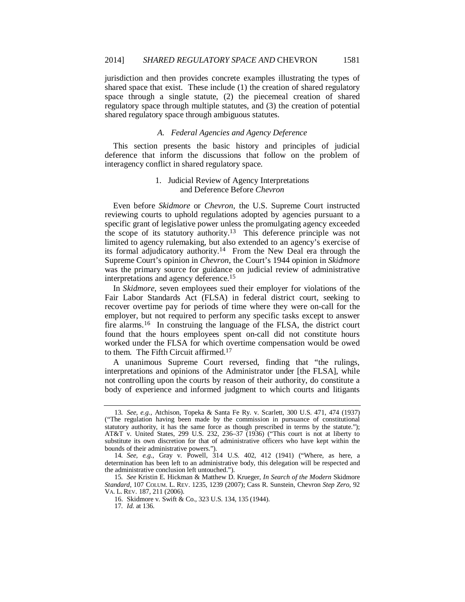jurisdiction and then provides concrete examples illustrating the types of shared space that exist. These include (1) the creation of shared regulatory space through a single statute, (2) the piecemeal creation of shared regulatory space through multiple statutes, and (3) the creation of potential shared regulatory space through ambiguous statutes.

# *A. Federal Agencies and Agency Deference*

This section presents the basic history and principles of judicial deference that inform the discussions that follow on the problem of interagency conflict in shared regulatory space.

# 1. Judicial Review of Agency Interpretations and Deference Before *Chevron*

Even before *Skidmore* or *Chevron*, the U.S. Supreme Court instructed reviewing courts to uphold regulations adopted by agencies pursuant to a specific grant of legislative power unless the promulgating agency exceeded the scope of its statutory authority.<sup>13</sup> This deference principle was not limited to agency rulemaking, but also extended to an agency's exercise of its formal adjudicatory authority.14 From the New Deal era through the Supreme Court's opinion in *Chevron*, the Court's 1944 opinion in *Skidmore* was the primary source for guidance on judicial review of administrative interpretations and agency deference.15

In *Skidmore*, seven employees sued their employer for violations of the Fair Labor Standards Act (FLSA) in federal district court, seeking to recover overtime pay for periods of time where they were on-call for the employer, but not required to perform any specific tasks except to answer fire alarms.16 In construing the language of the FLSA, the district court found that the hours employees spent on-call did not constitute hours worked under the FLSA for which overtime compensation would be owed to them. The Fifth Circuit affirmed.17

A unanimous Supreme Court reversed, finding that "the rulings, interpretations and opinions of the Administrator under [the FLSA], while not controlling upon the courts by reason of their authority, do constitute a body of experience and informed judgment to which courts and litigants

<sup>13</sup>*. See, e.g.*, Atchison, Topeka & Santa Fe Ry. v. Scarlett, 300 U.S. 471, 474 (1937) ("The regulation having been made by the commission in pursuance of constitutional statutory authority, it has the same force as though prescribed in terms by the statute."); AT&T v. United States, 299 U.S. 232, 236–37 (1936) ("This court is not at liberty to substitute its own discretion for that of administrative officers who have kept within the bounds of their administrative powers.").

<sup>14</sup>*. See, e.g.*, Gray v. Powell, 314 U.S. 402, 412 (1941) ("Where, as here, a determination has been left to an administrative body, this delegation will be respected and the administrative conclusion left untouched.").

<sup>15</sup>*. See* Kristin E. Hickman & Matthew D. Krueger, *In Search of the Modern* Skidmore *Standard*, 107 COLUM. L. REV. 1235, 1239 (2007); Cass R. Sunstein, Chevron *Step Zero*, 92 VA. L. REV. 187, 211 (2006).

 <sup>16.</sup> Skidmore v. Swift & Co., 323 U.S. 134, 135 (1944).

<sup>17</sup>*. Id.* at 136.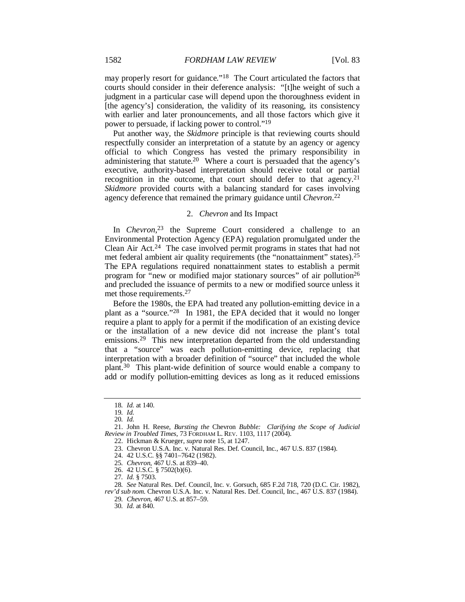may properly resort for guidance."<sup>18</sup> The Court articulated the factors that courts should consider in their deference analysis: "[t]he weight of such a judgment in a particular case will depend upon the thoroughness evident in [the agency's] consideration, the validity of its reasoning, its consistency with earlier and later pronouncements, and all those factors which give it power to persuade, if lacking power to control."19

Put another way, the *Skidmore* principle is that reviewing courts should respectfully consider an interpretation of a statute by an agency or agency official to which Congress has vested the primary responsibility in administering that statute.20 Where a court is persuaded that the agency's executive, authority-based interpretation should receive total or partial recognition in the outcome, that court should defer to that agency.<sup>21</sup> *Skidmore* provided courts with a balancing standard for cases involving agency deference that remained the primary guidance until *Chevron*. 22

# 2. *Chevron* and Its Impact

In *Chevron*<sup>23</sup> the Supreme Court considered a challenge to an Environmental Protection Agency (EPA) regulation promulgated under the Clean Air Act.24 The case involved permit programs in states that had not met federal ambient air quality requirements (the "nonattainment" states).25 The EPA regulations required nonattainment states to establish a permit program for "new or modified major stationary sources" of air pollution26 and precluded the issuance of permits to a new or modified source unless it met those requirements.27

Before the 1980s, the EPA had treated any pollution-emitting device in a plant as a "source."28 In 1981, the EPA decided that it would no longer require a plant to apply for a permit if the modification of an existing device or the installation of a new device did not increase the plant's total emissions.29 This new interpretation departed from the old understanding that a "source" was each pollution-emitting device, replacing that interpretation with a broader definition of "source" that included the whole plant.30 This plant-wide definition of source would enable a company to add or modify pollution-emitting devices as long as it reduced emissions

<sup>18</sup>*. Id.* at 140.

<sup>19</sup>*. Id.*

<sup>20</sup>*. Id.*

 <sup>21.</sup> John H. Reese, *Bursting the* Chevron *Bubble: Clarifying the Scope of Judicial Review in Troubled Times*, 73 FORDHAM L. REV. 1103, 1117 (2004).

 <sup>22.</sup> Hickman & Krueger, *supra* note 15, at 1247.

 <sup>23.</sup> Chevron U.S.A. Inc. v. Natural Res. Def. Council, Inc., 467 U.S. 837 (1984).

 <sup>24. 42</sup> U.S.C. §§ 7401–7642 (1982).

<sup>25</sup>*. Chevron*, 467 U.S. at 839–40.

 <sup>26. 42</sup> U.S.C. § 7502(b)(6).

<sup>27</sup>*. Id.* § 7503.

<sup>28</sup>*. See* Natural Res. Def. Council, Inc. v. Gorsuch, 685 F.2d 718, 720 (D.C. Cir. 1982),

*rev'd sub nom.* Chevron U.S.A. Inc. v. Natural Res. Def. Council, Inc., 467 U.S. 837 (1984). 29*. Chevron*, 467 U.S. at 857–59.

<sup>30</sup>*. Id.* at 840.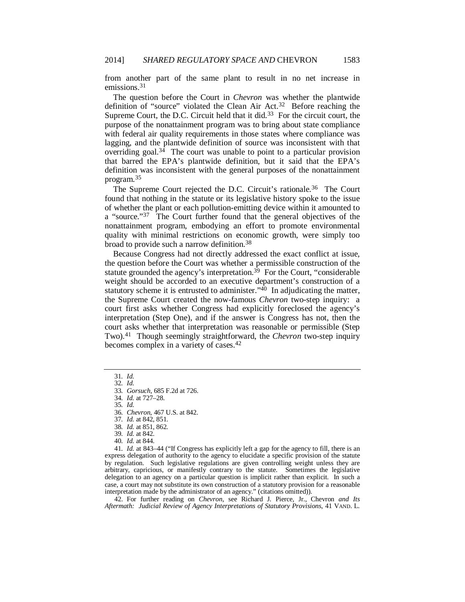from another part of the same plant to result in no net increase in emissions.31

The question before the Court in *Chevron* was whether the plantwide definition of "source" violated the Clean Air Act.<sup>32</sup> Before reaching the Supreme Court, the D.C. Circuit held that it did.<sup>33</sup> For the circuit court, the purpose of the nonattainment program was to bring about state compliance with federal air quality requirements in those states where compliance was lagging, and the plantwide definition of source was inconsistent with that overriding goal.<sup>34</sup> The court was unable to point to a particular provision that barred the EPA's plantwide definition, but it said that the EPA's definition was inconsistent with the general purposes of the nonattainment program.35

The Supreme Court rejected the D.C. Circuit's rationale.<sup>36</sup> The Court found that nothing in the statute or its legislative history spoke to the issue of whether the plant or each pollution-emitting device within it amounted to a "source."37 The Court further found that the general objectives of the nonattainment program, embodying an effort to promote environmental quality with minimal restrictions on economic growth, were simply too broad to provide such a narrow definition.38

Because Congress had not directly addressed the exact conflict at issue, the question before the Court was whether a permissible construction of the statute grounded the agency's interpretation.<sup>39</sup> For the Court, "considerable" weight should be accorded to an executive department's construction of a statutory scheme it is entrusted to administer." $40$  In adjudicating the matter, the Supreme Court created the now-famous *Chevron* two-step inquiry: a court first asks whether Congress had explicitly foreclosed the agency's interpretation (Step One), and if the answer is Congress has not, then the court asks whether that interpretation was reasonable or permissible (Step Two).41 Though seemingly straightforward, the *Chevron* two-step inquiry becomes complex in a variety of cases.42

35*. Id.*

41*. Id.* at 843–44 ("If Congress has explicitly left a gap for the agency to fill, there is an express delegation of authority to the agency to elucidate a specific provision of the statute by regulation. Such legislative regulations are given controlling weight unless they are arbitrary, capricious, or manifestly contrary to the statute. Sometimes the legislative delegation to an agency on a particular question is implicit rather than explicit. In such a case, a court may not substitute its own construction of a statutory provision for a reasonable interpretation made by the administrator of an agency." (citations omitted)).

 42. For further reading on *Chevron*, see Richard J. Pierce, Jr., Chevron *and Its Aftermath: Judicial Review of Agency Interpretations of Statutory Provisions*, 41 VAND. L.

<sup>31</sup>*. Id.*

<sup>32</sup>*. Id.*

<sup>33</sup>*. Gorsuch*, 685 F.2d at 726.

<sup>34</sup>*. Id.* at 727–28.

<sup>36</sup>*. Chevron*, 467 U.S. at 842.

<sup>37</sup>*. Id.* at 842, 851.

<sup>38</sup>*. Id.* at 851, 862.

<sup>39</sup>*. Id.* at 842.

<sup>40</sup>*. Id.* at 844.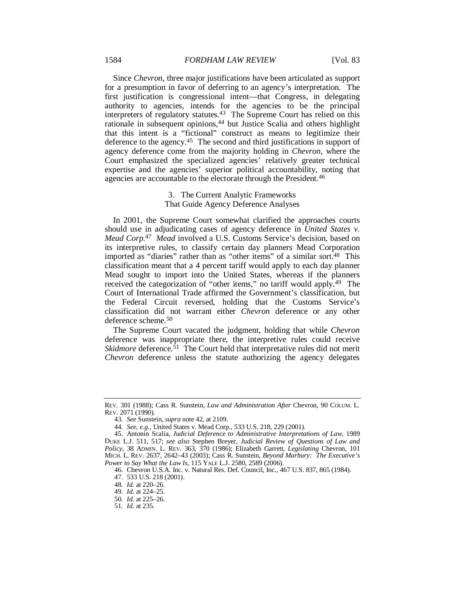Since *Chevron*, three major justifications have been articulated as support for a presumption in favor of deferring to an agency's interpretation. The first justification is congressional intent—that Congress, in delegating authority to agencies, intends for the agencies to be the principal interpreters of regulatory statutes.43 The Supreme Court has relied on this rationale in subsequent opinions,<sup>44</sup> but Justice Scalia and others highlight that this intent is a "fictional" construct as means to legitimize their deference to the agency.45 The second and third justifications in support of agency deference come from the majority holding in *Chevron*, where the Court emphasized the specialized agencies' relatively greater technical expertise and the agencies' superior political accountability, noting that agencies are accountable to the electorate through the President.<sup>46</sup>

# 3. The Current Analytic Frameworks That Guide Agency Deference Analyses

In 2001, the Supreme Court somewhat clarified the approaches courts should use in adjudicating cases of agency deference in *United States v. Mead Corp.*47 *Mead* involved a U.S. Customs Service's decision, based on its interpretive rules, to classify certain day planners Mead Corporation imported as "diaries" rather than as "other items" of a similar sort.48 This classification meant that a 4 percent tariff would apply to each day planner Mead sought to import into the United States, whereas if the planners received the categorization of "other items," no tariff would apply.49 The Court of International Trade affirmed the Government's classification, but the Federal Circuit reversed, holding that the Customs Service's classification did not warrant either *Chevron* deference or any other deference scheme.50

The Supreme Court vacated the judgment, holding that while *Chevron* deference was inappropriate there, the interpretive rules could receive *Skidmore* deference.<sup>51</sup> The Court held that interpretative rules did not merit *Chevron* deference unless the statute authorizing the agency delegates

REV. 301 (1988); Cass R. Sunstein, *Law and Administration After* Chevron, 90 COLUM. L. REV. 2071 (1990).

<sup>43</sup>*. See* Sunstein, *supra* note 42, at 2109.

<sup>44</sup>*. See, e.g.*, United States v. Mead Corp., 533 U.S. 218, 229 (2001).

 <sup>45.</sup> Antonin Scalia, *Judicial Deference to Administrative Interpretations of Law*, 1989 DUKE L.J. 511, 517; *see also* Stephen Breyer, *Judicial Review of Questions of Law and Policy*, 38 ADMIN. L. REV. 363, 370 (1986); Elizabeth Garrett, *Legislating* Chevron, 101 MICH. L. REV. 2637, 2642–43 (2003); Cass R. Sunstein, *Beyond Marbury: The Executive's Power to Say What the Law Is*, 115 YALE L.J. 2580, 2589 (2006).

 <sup>46.</sup> Chevron U.S.A. Inc. v. Natural Res. Def. Council, Inc., 467 U.S. 837, 865 (1984).

 <sup>47. 533</sup> U.S. 218 (2001).

<sup>48</sup>*. Id.* at 220–26.

<sup>49</sup>*. Id.* at 224–25.

<sup>50</sup>*. Id.* at 225–26.

<sup>51</sup>*. Id.* at 235.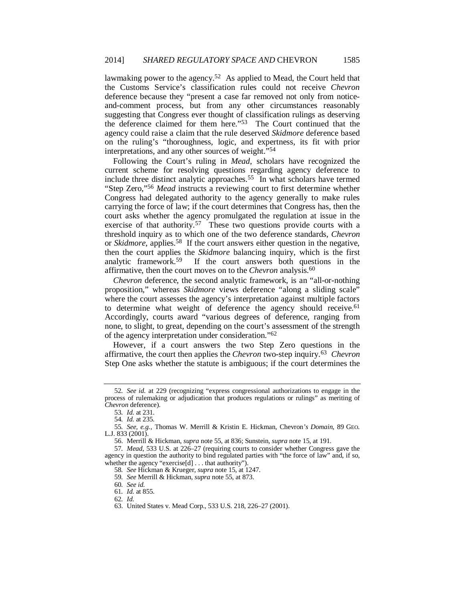lawmaking power to the agency.52 As applied to Mead, the Court held that the Customs Service's classification rules could not receive *Chevron* deference because they "present a case far removed not only from noticeand-comment process, but from any other circumstances reasonably suggesting that Congress ever thought of classification rulings as deserving the deference claimed for them here."53 The Court continued that the agency could raise a claim that the rule deserved *Skidmore* deference based on the ruling's "thoroughness, logic, and expertness, its fit with prior interpretations, and any other sources of weight."<sup>54</sup>

Following the Court's ruling in *Mead*, scholars have recognized the current scheme for resolving questions regarding agency deference to include three distinct analytic approaches.55 In what scholars have termed "Step Zero,"56 *Mead* instructs a reviewing court to first determine whether Congress had delegated authority to the agency generally to make rules carrying the force of law; if the court determines that Congress has, then the court asks whether the agency promulgated the regulation at issue in the exercise of that authority.<sup>57</sup> These two questions provide courts with a threshold inquiry as to which one of the two deference standards, *Chevron* or *Skidmore*, applies.58 If the court answers either question in the negative, then the court applies the *Skidmore* balancing inquiry, which is the first analytic framework.59 If the court answers both questions in the affirmative, then the court moves on to the *Chevron* analysis.60

*Chevron* deference, the second analytic framework, is an "all-or-nothing proposition," whereas *Skidmore* views deference "along a sliding scale" where the court assesses the agency's interpretation against multiple factors to determine what weight of deference the agency should receive.<sup>61</sup> Accordingly, courts award "various degrees of deference, ranging from none, to slight, to great, depending on the court's assessment of the strength of the agency interpretation under consideration."62

However, if a court answers the two Step Zero questions in the affirmative, the court then applies the *Chevron* two-step inquiry.63 *Chevron* Step One asks whether the statute is ambiguous; if the court determines the

58*. See* Hickman & Krueger, *supra* note 15, at 1247.

60*. See id.*

62*. Id.*

<sup>52</sup>*. See id.* at 229 (recognizing "express congressional authorizations to engage in the process of rulemaking or adjudication that produces regulations or rulings" as meriting of *Chevron* deference).

<sup>53</sup>*. Id.* at 231.

<sup>54</sup>*. Id.* at 235.

<sup>55</sup>*. See, e.g.*, Thomas W. Merrill & Kristin E. Hickman, Chevron*'s Domain*, 89 GEO. L.J. 833 (2001).

 <sup>56.</sup> Merrill & Hickman, *supra* note 55, at 836; Sunstein, *supra* note 15, at 191.

<sup>57</sup>*. Mead*, 533 U.S. at 226–27 (requiring courts to consider whether Congress gave the agency in question the authority to bind regulated parties with "the force of law" and, if so, whether the agency "exercise[d] . . . that authority").

<sup>59</sup>*. See* Merrill & Hickman, *supra* note 55, at 873.

<sup>61</sup>*. Id.* at 855.

 <sup>63.</sup> United States v. Mead Corp., 533 U.S. 218, 226–27 (2001).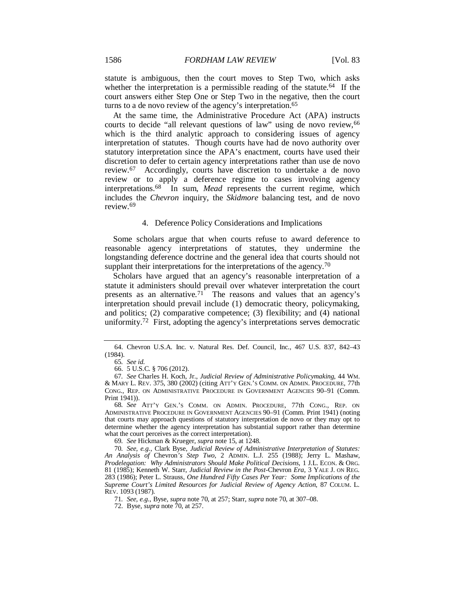statute is ambiguous, then the court moves to Step Two, which asks whether the interpretation is a permissible reading of the statute.<sup>64</sup> If the court answers either Step One or Step Two in the negative, then the court turns to a de novo review of the agency's interpretation.65

At the same time, the Administrative Procedure Act (APA) instructs courts to decide "all relevant questions of law" using de novo review, 66 which is the third analytic approach to considering issues of agency interpretation of statutes. Though courts have had de novo authority over statutory interpretation since the APA's enactment, courts have used their discretion to defer to certain agency interpretations rather than use de novo review.67 Accordingly, courts have discretion to undertake a de novo review or to apply a deference regime to cases involving agency interpretations.<sup>68</sup> In sum, *Mead* represents the current regime, which includes the *Chevron* inquiry, the *Skidmore* balancing test, and de novo review<sup>69</sup>

#### 4. Deference Policy Considerations and Implications

Some scholars argue that when courts refuse to award deference to reasonable agency interpretations of statutes, they undermine the longstanding deference doctrine and the general idea that courts should not supplant their interpretations for the interpretations of the agency.<sup>70</sup>

Scholars have argued that an agency's reasonable interpretation of a statute it administers should prevail over whatever interpretation the court presents as an alternative.<sup>71</sup> The reasons and values that an agency's interpretation should prevail include (1) democratic theory, policymaking, and politics; (2) comparative competence; (3) flexibility; and (4) national uniformity.72 First, adopting the agency's interpretations serves democratic

69*. See* Hickman & Krueger, *supra* note 15, at 1248.

 <sup>64.</sup> Chevron U.S.A. Inc. v. Natural Res. Def. Council, Inc., 467 U.S. 837, 842–43 (1984).

<sup>65</sup>*. See id.*

 <sup>66. 5</sup> U.S.C. § 706 (2012).

<sup>67</sup>*. See* Charles H. Koch, Jr., *Judicial Review of Administrative Policymaking*, 44 WM. & MARY L. REV. 375, 380 (2002) (citing ATT'Y GEN.'S COMM. ON ADMIN. PROCEDURE, 77th CONG., REP. ON ADMINISTRATIVE PROCEDURE IN GOVERNMENT AGENCIES 90–91 (Comm. Print 1941)).

<sup>68</sup>*. See* ATT'Y GEN.'S COMM. ON ADMIN. PROCEDURE, 77th CONG., REP. ON ADMINISTRATIVE PROCEDURE IN GOVERNMENT AGENCIES 90–91 (Comm. Print 1941) (noting that courts may approach questions of statutory interpretation de novo or they may opt to determine whether the agency interpretation has substantial support rather than determine what the court perceives as the correct interpretation).

<sup>70</sup>*. See, e.g.*, Clark Byse, *Judicial Review of Administrative Interpretation of Statutes: An Analysis of* Chevron*'s Step Two*, 2 ADMIN. L.J. 255 (1988); Jerry L. Mashaw, *Prodelegation: Why Administrators Should Make Political Decisions*, 1 J.L. ECON. & ORG. 81 (1985); Kenneth W. Starr, *Judicial Review in the Post-*Chevron *Era*, 3 YALE J. ON REG. 283 (1986); Peter L. Strauss, *One Hundred Fifty Cases Per Year: Some Implications of the Supreme Court's Limited Resources for Judicial Review of Agency Action*, 87 COLUM. L. REV. 1093 (1987).

<sup>71</sup>*. See, e.g.*, Byse, *supra* note 70, at 257; Starr, *supra* note 70, at 307–08.

 <sup>72.</sup> Byse, *supra* note 70, at 257.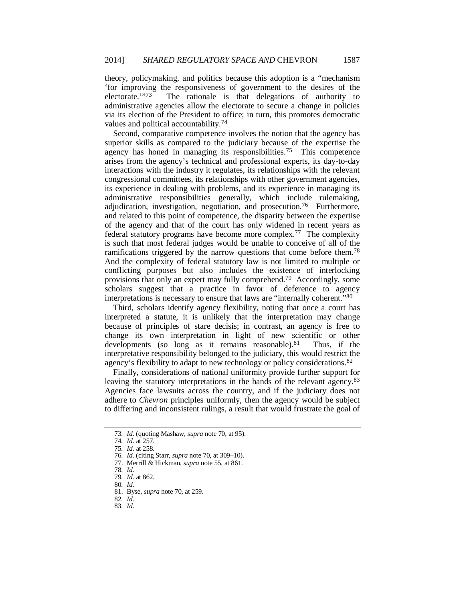theory, policymaking, and politics because this adoption is a "mechanism 'for improving the responsiveness of government to the desires of the electorate.'"73 The rationale is that delegations of authority to administrative agencies allow the electorate to secure a change in policies via its election of the President to office; in turn, this promotes democratic values and political accountability.74

Second, comparative competence involves the notion that the agency has superior skills as compared to the judiciary because of the expertise the agency has honed in managing its responsibilities.75 This competence arises from the agency's technical and professional experts, its day-to-day interactions with the industry it regulates, its relationships with the relevant congressional committees, its relationships with other government agencies, its experience in dealing with problems, and its experience in managing its administrative responsibilities generally, which include rulemaking, adjudication, investigation, negotiation, and prosecution.<sup>76</sup> Furthermore, and related to this point of competence, the disparity between the expertise of the agency and that of the court has only widened in recent years as federal statutory programs have become more complex.77 The complexity is such that most federal judges would be unable to conceive of all of the ramifications triggered by the narrow questions that come before them.78 And the complexity of federal statutory law is not limited to multiple or conflicting purposes but also includes the existence of interlocking provisions that only an expert may fully comprehend.79 Accordingly, some scholars suggest that a practice in favor of deference to agency interpretations is necessary to ensure that laws are "internally coherent."80

Third, scholars identify agency flexibility, noting that once a court has interpreted a statute, it is unlikely that the interpretation may change because of principles of stare decisis; in contrast, an agency is free to change its own interpretation in light of new scientific or other developments (so long as it remains reasonable). $81$  Thus, if the interpretative responsibility belonged to the judiciary, this would restrict the agency's flexibility to adapt to new technology or policy considerations.82

Finally, considerations of national uniformity provide further support for leaving the statutory interpretations in the hands of the relevant agency.<sup>83</sup> Agencies face lawsuits across the country, and if the judiciary does not adhere to *Chevron* principles uniformly, then the agency would be subject to differing and inconsistent rulings, a result that would frustrate the goal of

<sup>73</sup>*. Id.* (quoting Mashaw, *supra* note 70, at 95).

<sup>74</sup>*. Id.* at 257.

<sup>75</sup>*. Id.* at 258.

<sup>76</sup>*. Id.* (citing Starr, *supra* note 70, at 309–10).

 <sup>77.</sup> Merrill & Hickman, *supra* note 55, at 861.

<sup>78</sup>*. Id.*

<sup>79</sup>*. Id.* at 862.

<sup>80</sup>*. Id.*

 <sup>81.</sup> Byse, *supra* note 70, at 259.

<sup>82</sup>*. Id.*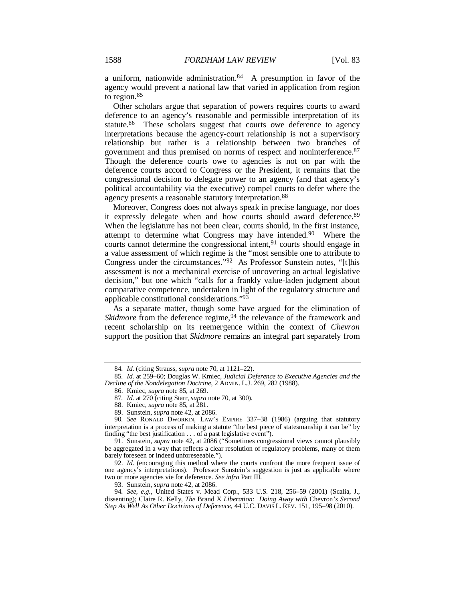a uniform, nationwide administration. $84$  A presumption in favor of the agency would prevent a national law that varied in application from region to region.85

Other scholars argue that separation of powers requires courts to award deference to an agency's reasonable and permissible interpretation of its statute.<sup>86</sup> These scholars suggest that courts owe deference to agency interpretations because the agency-court relationship is not a supervisory relationship but rather is a relationship between two branches of government and thus premised on norms of respect and noninterference.87 Though the deference courts owe to agencies is not on par with the deference courts accord to Congress or the President, it remains that the congressional decision to delegate power to an agency (and that agency's political accountability via the executive) compel courts to defer where the agency presents a reasonable statutory interpretation.88

Moreover, Congress does not always speak in precise language, nor does it expressly delegate when and how courts should award deference.89 When the legislature has not been clear, courts should, in the first instance, attempt to determine what Congress may have intended.90 Where the courts cannot determine the congressional intent,<sup>91</sup> courts should engage in a value assessment of which regime is the "most sensible one to attribute to Congress under the circumstances."92 As Professor Sunstein notes, "[t]his assessment is not a mechanical exercise of uncovering an actual legislative decision," but one which "calls for a frankly value-laden judgment about comparative competence, undertaken in light of the regulatory structure and applicable constitutional considerations."93

As a separate matter, though some have argued for the elimination of *Skidmore* from the deference regime,<sup>94</sup> the relevance of the framework and recent scholarship on its reemergence within the context of *Chevron* support the position that *Skidmore* remains an integral part separately from

<sup>84</sup>*. Id.* (citing Strauss, *supra* note 70, at 1121–22).

<sup>85</sup>*. Id.* at 259–60; Douglas W. Kmiec, *Judicial Deference to Executive Agencies and the Decline of the Nondelegation Doctrine*, 2 ADMIN. L.J. 269, 282 (1988).

 <sup>86.</sup> Kmiec, *supra* note 85, at 269.

<sup>87</sup>*. Id.* at 270 (citing Starr, *supra* note 70, at 300).

 <sup>88.</sup> Kmiec, *supra* note 85, at 281.

 <sup>89.</sup> Sunstein, *supra* note 42, at 2086.

<sup>90</sup>*. See* RONALD DWORKIN, LAW'S EMPIRE 337–38 (1986) (arguing that statutory interpretation is a process of making a statute "the best piece of statesmanship it can be" by finding "the best justification . . . of a past legislative event").

 <sup>91.</sup> Sunstein, *supra* note 42, at 2086 ("Sometimes congressional views cannot plausibly be aggregated in a way that reflects a clear resolution of regulatory problems, many of them barely foreseen or indeed unforeseeable.").

 <sup>92.</sup> *Id.* (encouraging this method where the courts confront the more frequent issue of one agency's interpretations). Professor Sunstein's suggestion is just as applicable where two or more agencies vie for deference. *See infra* Part III.

 <sup>93.</sup> Sunstein, *supra* note 42, at 2086.

<sup>94</sup>*. See, e.g.*, United States v. Mead Corp., 533 U.S. 218, 256–59 (2001) (Scalia, J., dissenting); Claire R. Kelly, *The* Brand X *Liberation: Doing Away with* Chevron*'s Second Step As Well As Other Doctrines of Deference*, 44 U.C. DAVIS L. REV. 151, 195–98 (2010).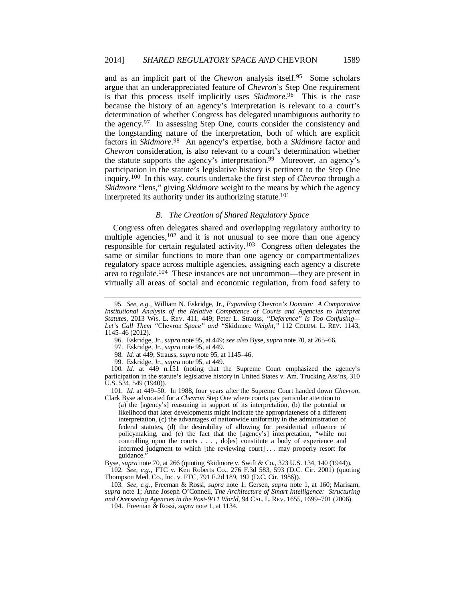and as an implicit part of the *Chevron* analysis itself.95 Some scholars argue that an underappreciated feature of *Chevron*'s Step One requirement is that this process itself implicitly uses *Skidmore*. 96 This is the case because the history of an agency's interpretation is relevant to a court's determination of whether Congress has delegated unambiguous authority to the agency.97 In assessing Step One, courts consider the consistency and the longstanding nature of the interpretation, both of which are explicit factors in *Skidmore*. 98 An agency's expertise, both a *Skidmore* factor and *Chevron* consideration, is also relevant to a court's determination whether the statute supports the agency's interpretation.<sup>99</sup> Moreover, an agency's participation in the statute's legislative history is pertinent to the Step One inquiry.100 In this way, courts undertake the first step of *Chevron* through a *Skidmore* "lens," giving *Skidmore* weight to the means by which the agency interpreted its authority under its authorizing statute.<sup>101</sup>

## *B. The Creation of Shared Regulatory Space*

Congress often delegates shared and overlapping regulatory authority to multiple agencies,  $102$  and it is not unusual to see more than one agency responsible for certain regulated activity.103 Congress often delegates the same or similar functions to more than one agency or compartmentalizes regulatory space across multiple agencies, assigning each agency a discrete area to regulate.104 These instances are not uncommon—they are present in virtually all areas of social and economic regulation, from food safety to

96. Eskridge, Jr., *supra* note 95, at 449; *see also* Byse, *supra* note 70, at 265–66.

97. Eskridge, Jr., *supra* note 95, at 449.

98*. Id.* at 449; Strauss, *supra* note 95, at 1145–46.

99. Eskridge, Jr., *supra* note 95, at 449.

100*. Id.* at 449 n.151 (noting that the Supreme Court emphasized the agency's participation in the statute's legislative history in United States v. Am. Trucking Ass'ns, 310 U.S. 534, 549 (1940)).

101*. Id.* at 449–50. In 1988, four years after the Supreme Court handed down *Chevron*, Clark Byse advocated for a *Chevron* Step One where courts pay particular attention to

(a) the [agency's] reasoning in support of its interpretation, (b) the potential or likelihood that later developments might indicate the appropriateness of a different interpretation, (c) the advantages of nationwide uniformity in the administration of federal statutes, (d) the desirability of allowing for presidential influence of policymaking, and (e) the fact that the [agency's] interpretation, "while not controlling upon the courts . . . , do[es] constitute a body of experience and informed judgment to which [the reviewing court] ... may properly resort for guidance.'

Byse, *supra* note 70, at 266 (quoting Skidmore v. Swift & Co., 323 U.S. 134, 140 (1944)). 102*. See, e.g.*, FTC v. Ken Roberts Co., 276 F.3d 583, 593 (D.C. Cir. 2001) (quoting

Thompson Med. Co., Inc. v. FTC, 791 F.2d 189, 192 (D.C. Cir. 1986)).

103*. See, e.g.*, Freeman & Rossi, *supra* note 1; Gersen, *supra* note 1, at 160; Marisam, *supra* note 1; Anne Joseph O'Connell, *The Architecture of Smart Intelligence: Structuring and Overseeing Agencies in the Post-9/11 World*, 94 CAL. L. REV. 1655, 1699–701 (2006).

104. Freeman & Rossi, *supra* note 1, at 1134.

<sup>95</sup>*. See, e.g.*, William N. Eskridge, Jr., *Expanding* Chevron*'s Domain: A Comparative Institutional Analysis of the Relative Competence of Courts and Agencies to Interpret Statutes*, 2013 WIS. L. REV. 411, 449; Peter L. Strauss, *"Deference" Is Too Confusing— Let's Call Them "*Chevron *Space" and "*Skidmore *Weight*,*"* 112 COLUM. L. REV. 1143, 1145–46 (2012).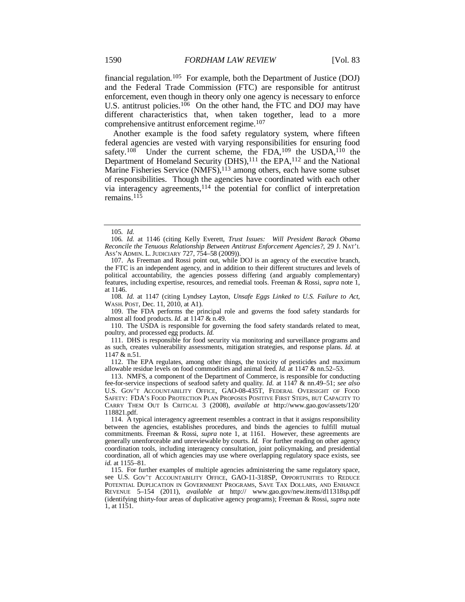financial regulation.105 For example, both the Department of Justice (DOJ) and the Federal Trade Commission (FTC) are responsible for antitrust enforcement, even though in theory only one agency is necessary to enforce U.S. antitrust policies.<sup>106</sup> On the other hand, the FTC and DOJ may have different characteristics that, when taken together, lead to a more comprehensive antitrust enforcement regime.107

Another example is the food safety regulatory system, where fifteen federal agencies are vested with varying responsibilities for ensuring food safety.<sup>108</sup> Under the current scheme, the FDA,<sup>109</sup> the USDA,<sup>110</sup> the Department of Homeland Security (DHS), $^{111}$  the EPA, $^{112}$  and the National Marine Fisheries Service (NMFS),<sup>113</sup> among others, each have some subset of responsibilities. Though the agencies have coordinated with each other via interagency agreements,114 the potential for conflict of interpretation remains.115

108*. Id.* at 1147 (citing Lyndsey Layton, *Unsafe Eggs Linked to U.S. Failure to Act*, WASH. POST, Dec. 11, 2010, at A1).

 109. The FDA performs the principal role and governs the food safety standards for almost all food products. *Id.* at 1147 & n.49.

 110. The USDA is responsible for governing the food safety standards related to meat, poultry, and processed egg products. *Id.*

 111. DHS is responsible for food security via monitoring and surveillance programs and as such, creates vulnerability assessments, mitigation strategies, and response plans. *Id.* at 1147 & n.51.

 112. The EPA regulates, among other things, the toxicity of pesticides and maximum allowable residue levels on food commodities and animal feed. *Id.* at 1147 & nn.52–53.

 113. NMFS, a component of the Department of Commerce, is responsible for conducting fee-for-service inspections of seafood safety and quality. *Id.* at 1147 & nn.49–51; *see also* U.S. GOV'T ACCOUNTABILITY OFFICE, GAO-08-435T, FEDERAL OVERSIGHT OF FOOD SAFETY: FDA'S FOOD PROTECTION PLAN PROPOSES POSITIVE FIRST STEPS, BUT CAPACITY TO CARRY THEM OUT IS CRITICAL 3 (2008), *available at* http://www.gao.gov/assets/120/ 118821.pdf.

 114. A typical interagency agreement resembles a contract in that it assigns responsibility between the agencies, establishes procedures, and binds the agencies to fulfill mutual commitments. Freeman & Rossi, *supra* note 1, at 1161. However, these agreements are generally unenforceable and unreviewable by courts. *Id.* For further reading on other agency coordination tools, including interagency consultation, joint policymaking, and presidential coordination, all of which agencies may use where overlapping regulatory space exists, see *id.* at 1155–81.

 115. For further examples of multiple agencies administering the same regulatory space, see U.S. GOV'T ACCOUNTABILITY OFFICE, GAO-11-318SP, OPPORTUNITIES TO REDUCE POTENTIAL DUPLICATION IN GOVERNMENT PROGRAMS, SAVE TAX DOLLARS, AND ENHANCE REVENUE 5–154 (2011), *available at* http:// www.gao.gov/new.items/d11318sp.pdf (identifying thirty-four areas of duplicative agency programs); Freeman & Rossi, *supra* note 1, at 1151.

<sup>105</sup>*. Id.*

<sup>106</sup>*. Id.* at 1146 (citing Kelly Everett, *Trust Issues: Will President Barack Obama Reconcile the Tenuous Relationship Between Antitrust Enforcement Agencies?*, 29 J. NAT'L ASS'N ADMIN. L. JUDICIARY 727, 754–58 (2009)).

 <sup>107.</sup> As Freeman and Rossi point out, while DOJ is an agency of the executive branch, the FTC is an independent agency, and in addition to their different structures and levels of political accountability, the agencies possess differing (and arguably complementary) features, including expertise, resources, and remedial tools. Freeman & Rossi, *supra* note 1, at 1146.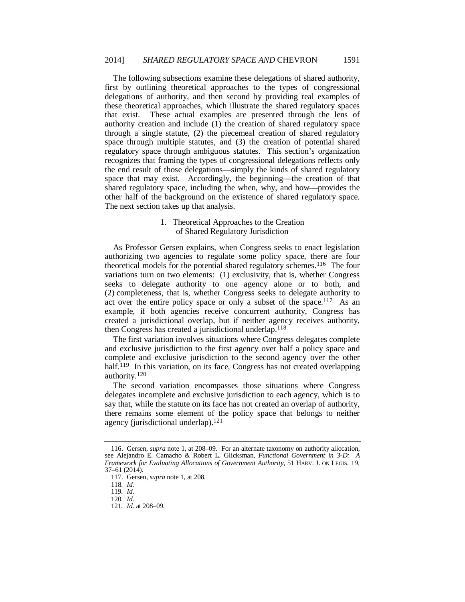The following subsections examine these delegations of shared authority, first by outlining theoretical approaches to the types of congressional delegations of authority, and then second by providing real examples of these theoretical approaches, which illustrate the shared regulatory spaces that exist. These actual examples are presented through the lens of authority creation and include (1) the creation of shared regulatory space through a single statute, (2) the piecemeal creation of shared regulatory space through multiple statutes, and (3) the creation of potential shared regulatory space through ambiguous statutes. This section's organization recognizes that framing the types of congressional delegations reflects only the end result of those delegations—simply the kinds of shared regulatory space that may exist. Accordingly, the beginning—the creation of that shared regulatory space, including the when, why, and how—provides the other half of the background on the existence of shared regulatory space. The next section takes up that analysis.

## 1. Theoretical Approaches to the Creation of Shared Regulatory Jurisdiction

As Professor Gersen explains, when Congress seeks to enact legislation authorizing two agencies to regulate some policy space, there are four theoretical models for the potential shared regulatory schemes.<sup>116</sup> The four variations turn on two elements: (1) exclusivity, that is, whether Congress seeks to delegate authority to one agency alone or to both, and (2) completeness, that is, whether Congress seeks to delegate authority to act over the entire policy space or only a subset of the space.<sup>117</sup> As an example, if both agencies receive concurrent authority, Congress has created a jurisdictional overlap, but if neither agency receives authority, then Congress has created a jurisdictional underlap.<sup>118</sup>

The first variation involves situations where Congress delegates complete and exclusive jurisdiction to the first agency over half a policy space and complete and exclusive jurisdiction to the second agency over the other half.<sup>119</sup> In this variation, on its face, Congress has not created overlapping authority.120

The second variation encompasses those situations where Congress delegates incomplete and exclusive jurisdiction to each agency, which is to say that, while the statute on its face has not created an overlap of authority, there remains some element of the policy space that belongs to neither agency (jurisdictional underlap).121

 <sup>116.</sup> Gersen, *supra* note 1, at 208–09. For an alternate taxonomy on authority allocation, see Alejandro E. Camacho & Robert L. Glicksman, *Functional Government in 3-D: A Framework for Evaluating Allocations of Government Authority*, 51 HARV. J. ON LEGIS. 19, 37–61 (2014).

 <sup>117.</sup> Gersen, *supra* note 1, at 208.

<sup>118</sup>*. Id.*

<sup>119</sup>*. Id.*

<sup>120</sup>*. Id.*

<sup>121</sup>*. Id.* at 208–09.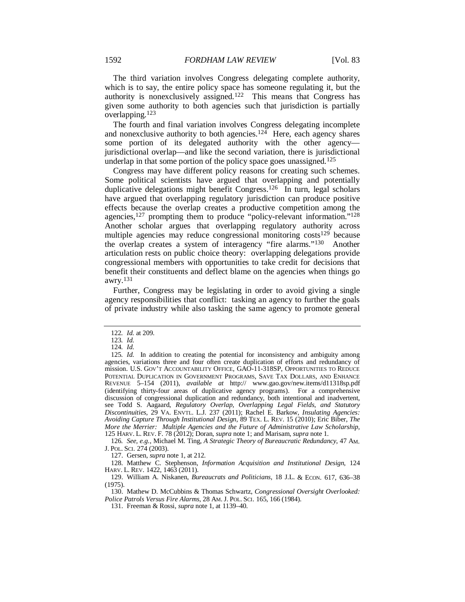The third variation involves Congress delegating complete authority, which is to say, the entire policy space has someone regulating it, but the authority is nonexclusively assigned.122 This means that Congress has given some authority to both agencies such that jurisdiction is partially overlapping.123

The fourth and final variation involves Congress delegating incomplete and nonexclusive authority to both agencies.<sup>124</sup> Here, each agency shares some portion of its delegated authority with the other agency jurisdictional overlap—and like the second variation, there is jurisdictional underlap in that some portion of the policy space goes unassigned.<sup>125</sup>

Congress may have different policy reasons for creating such schemes. Some political scientists have argued that overlapping and potentially duplicative delegations might benefit Congress.<sup>126</sup> In turn, legal scholars have argued that overlapping regulatory jurisdiction can produce positive effects because the overlap creates a productive competition among the agencies,127 prompting them to produce "policy-relevant information."128 Another scholar argues that overlapping regulatory authority across multiple agencies may reduce congressional monitoring  $costs^{129}$  because the overlap creates a system of interagency "fire alarms."130 Another articulation rests on public choice theory: overlapping delegations provide congressional members with opportunities to take credit for decisions that benefit their constituents and deflect blame on the agencies when things go awry.131

Further, Congress may be legislating in order to avoid giving a single agency responsibilities that conflict: tasking an agency to further the goals of private industry while also tasking the same agency to promote general

<sup>122</sup>*. Id.* at 209.

<sup>123</sup>*. Id.*

<sup>124</sup>*. Id.*

<sup>125</sup>*. Id.* In addition to creating the potential for inconsistency and ambiguity among agencies, variations three and four often create duplication of efforts and redundancy of mission. U.S. GOV'T ACCOUNTABILITY OFFICE, GAO-11-318SP, OPPORTUNITIES TO REDUCE POTENTIAL DUPLICATION IN GOVERNMENT PROGRAMS, SAVE TAX DOLLARS, AND ENHANCE REVENUE 5–154 (2011), *available at* http:// www.gao.gov/new.items/d11318sp.pdf (identifying thirty-four areas of duplicative agency programs). For a comprehensive discussion of congressional duplication and redundancy, both intentional and inadvertent, see Todd S. Aagaard, *Regulatory Overlap, Overlapping Legal Fields, and Statutory Discontinuities*, 29 VA. ENVTL. L.J. 237 (2011); Rachel E. Barkow, *Insulating Agencies: Avoiding Capture Through Institutional Design*, 89 TEX. L. REV. 15 (2010); Eric Biber, *The More the Merrier: Multiple Agencies and the Future of Administrative Law Scholarship*, 125 HARV. L. REV. F. 78 (2012); Doran, *supra* note 1; and Marisam, *supra* note 1.

<sup>126</sup>*. See, e.g.*, Michael M. Ting, *A Strategic Theory of Bureaucratic Redundancy*, 47 AM. J. POL. SCI. 274 (2003).

 <sup>127.</sup> Gersen, *supra* note 1, at 212.

 <sup>128.</sup> Matthew C. Stephenson, *Information Acquisition and Institutional Design*, 124 HARV. L. REV. 1422, 1463 (2011).

 <sup>129.</sup> William A. Niskanen, *Bureaucrats and Politicians*, 18 J.L. & ECON. 617, 636–38 (1975).

 <sup>130.</sup> Mathew D. McCubbins & Thomas Schwartz, *Congressional Oversight Overlooked: Police Patrols Versus Fire Alarms*, 28 AM. J. POL. SCI. 165, 166 (1984).

 <sup>131.</sup> Freeman & Rossi, *supra* note 1, at 1139–40.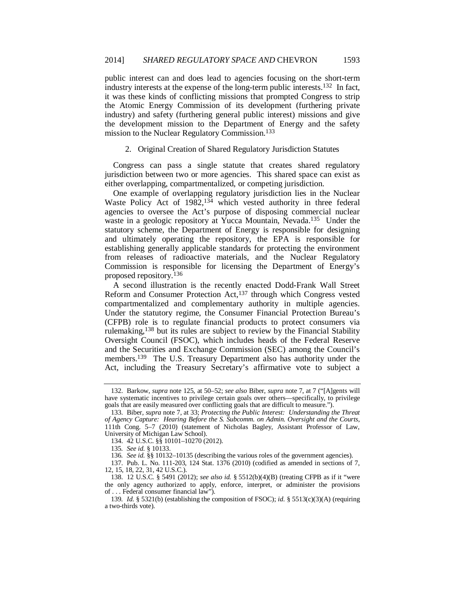public interest can and does lead to agencies focusing on the short-term industry interests at the expense of the long-term public interests.132 In fact, it was these kinds of conflicting missions that prompted Congress to strip the Atomic Energy Commission of its development (furthering private industry) and safety (furthering general public interest) missions and give the development mission to the Department of Energy and the safety mission to the Nuclear Regulatory Commission.133

## 2. Original Creation of Shared Regulatory Jurisdiction Statutes

Congress can pass a single statute that creates shared regulatory jurisdiction between two or more agencies. This shared space can exist as either overlapping, compartmentalized, or competing jurisdiction.

One example of overlapping regulatory jurisdiction lies in the Nuclear Waste Policy Act of  $1982,^{134}$  which vested authority in three federal agencies to oversee the Act's purpose of disposing commercial nuclear waste in a geologic repository at Yucca Mountain, Nevada.<sup>135</sup> Under the statutory scheme, the Department of Energy is responsible for designing and ultimately operating the repository, the EPA is responsible for establishing generally applicable standards for protecting the environment from releases of radioactive materials, and the Nuclear Regulatory Commission is responsible for licensing the Department of Energy's proposed repository.136

A second illustration is the recently enacted Dodd-Frank Wall Street Reform and Consumer Protection Act,<sup>137</sup> through which Congress vested compartmentalized and complementary authority in multiple agencies. Under the statutory regime, the Consumer Financial Protection Bureau's (CFPB) role is to regulate financial products to protect consumers via rulemaking,138 but its rules are subject to review by the Financial Stability Oversight Council (FSOC), which includes heads of the Federal Reserve and the Securities and Exchange Commission (SEC) among the Council's members.139 The U.S. Treasury Department also has authority under the Act, including the Treasury Secretary's affirmative vote to subject a

 <sup>132.</sup> Barkow, *supra* note 125, at 50–52; *see also* Biber, *supra* note 7, at 7 ("[A]gents will have systematic incentives to privilege certain goals over others—specifically, to privilege goals that are easily measured over conflicting goals that are difficult to measure.").

 <sup>133.</sup> Biber, *supra* note 7, at 33; *Protecting the Public Interest: Understanding the Threat of Agency Capture: Hearing Before the S. Subcomm. on Admin. Oversight and the Courts*, 111th Cong. 5–7 (2010) (statement of Nicholas Bagley, Assistant Professor of Law, University of Michigan Law School).

 <sup>134. 42</sup> U.S.C. §§ 10101–10270 (2012).

<sup>135</sup>*. See id.* § 10133.

<sup>136</sup>*. See id.* §§ 10132–10135 (describing the various roles of the government agencies).

 <sup>137.</sup> Pub. L. No. 111-203, 124 Stat. 1376 (2010) (codified as amended in sections of 7, 12, 15, 18, 22, 31, 42 U.S.C.).

 <sup>138. 12</sup> U.S.C. § 5491 (2012); *see also id.* § 5512(b)(4)(B) (treating CFPB as if it "were the only agency authorized to apply, enforce, interpret, or administer the provisions of . . . Federal consumer financial law").

<sup>139</sup>*. Id.* § 5321(b) (establishing the composition of FSOC); *id.* § 5513(c)(3)(A) (requiring a two-thirds vote).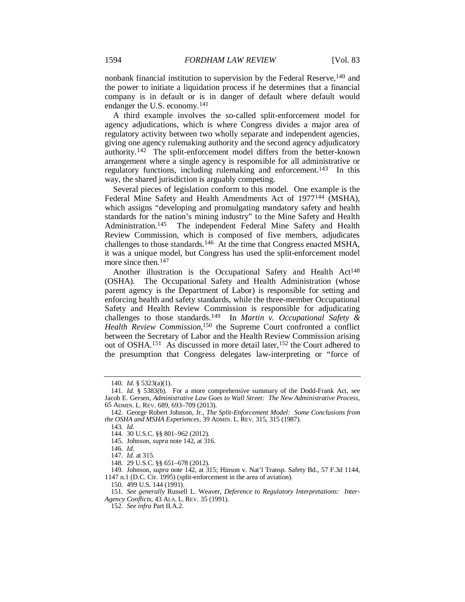nonbank financial institution to supervision by the Federal Reserve, <sup>140</sup> and the power to initiate a liquidation process if he determines that a financial company is in default or is in danger of default where default would endanger the U.S. economy.141

A third example involves the so-called split-enforcement model for agency adjudications, which is where Congress divides a major area of regulatory activity between two wholly separate and independent agencies, giving one agency rulemaking authority and the second agency adjudicatory authority.142 The split-enforcement model differs from the better-known arrangement where a single agency is responsible for all administrative or regulatory functions, including rulemaking and enforcement.<sup>143</sup> In this way, the shared jurisdiction is arguably competing.

Several pieces of legislation conform to this model. One example is the Federal Mine Safety and Health Amendments Act of 1977<sup>144</sup> (MSHA), which assigns "developing and promulgating mandatory safety and health standards for the nation's mining industry" to the Mine Safety and Health Administration.145 The independent Federal Mine Safety and Health Review Commission, which is composed of five members, adjudicates challenges to those standards.146 At the time that Congress enacted MSHA, it was a unique model, but Congress has used the split-enforcement model more since then.<sup>147</sup>

Another illustration is the Occupational Safety and Health Act<sup>148</sup> (OSHA). The Occupational Safety and Health Administration (whose parent agency is the Department of Labor) is responsible for setting and enforcing health and safety standards, while the three-member Occupational Safety and Health Review Commission is responsible for adjudicating challenges to those standards.149 In *Martin v. Occupational Safety & Health Review Commission*, 150 the Supreme Court confronted a conflict between the Secretary of Labor and the Health Review Commission arising out of OSHA.151 As discussed in more detail later,152 the Court adhered to the presumption that Congress delegates law-interpreting or "force of

150. 499 U.S. 144 (1991).

151*. See generally* Russell L. Weaver, *Deference to Regulatory Interpretations: Inter-Agency Conflicts*, 43 ALA. L. REV. 35 (1991).

152*. See infra* Part II.A.2.

<sup>140</sup>*. Id.* § 5323(a)(1).

<sup>141</sup>*. Id.* § 5383(b). For a more comprehensive summary of the Dodd-Frank Act, see Jacob E. Gersen, *Administrative Law Goes to Wall Street: The New Administrative Process*, 65 ADMIN. L. REV. 689, 693–709 (2013).

 <sup>142.</sup> George Robert Johnson, Jr., *The Split-Enforcement Model: Some Conclusions from the OSHA and MSHA Experiences*, 39 ADMIN. L. REV. 315, 315 (1987).

<sup>143</sup>*. Id.*

 <sup>144. 30</sup> U.S.C. §§ 801–962 (2012).

 <sup>145.</sup> Johnson, *supra* note 142, at 316.

<sup>146</sup>*. Id.*

<sup>147</sup>*. Id.* at 315.

 <sup>148. 29</sup> U.S.C. §§ 651–678 (2012).

 <sup>149.</sup> Johnson, *supra* note 142, at 315; Hinson v. Nat'l Transp. Safety Bd., 57 F.3d 1144, 1147 n.1 (D.C. Cir. 1995) (split-enforcement in the area of aviation).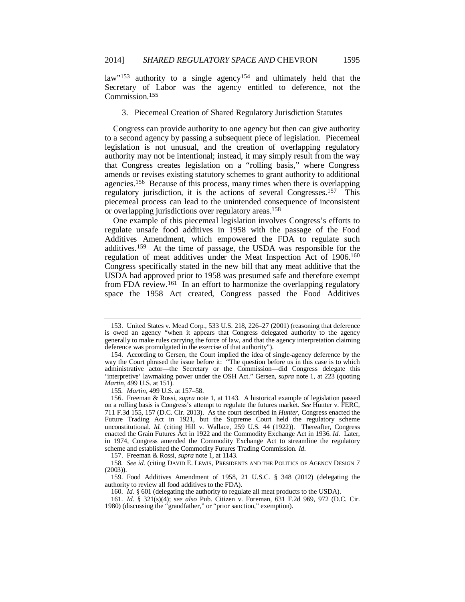law"<sup>153</sup> authority to a single agency<sup>154</sup> and ultimately held that the Secretary of Labor was the agency entitled to deference, not the Commission.155

3. Piecemeal Creation of Shared Regulatory Jurisdiction Statutes

Congress can provide authority to one agency but then can give authority to a second agency by passing a subsequent piece of legislation. Piecemeal legislation is not unusual, and the creation of overlapping regulatory authority may not be intentional; instead, it may simply result from the way that Congress creates legislation on a "rolling basis," where Congress amends or revises existing statutory schemes to grant authority to additional agencies.156 Because of this process, many times when there is overlapping regulatory jurisdiction, it is the actions of several Congresses.157 This piecemeal process can lead to the unintended consequence of inconsistent or overlapping jurisdictions over regulatory areas.158

One example of this piecemeal legislation involves Congress's efforts to regulate unsafe food additives in 1958 with the passage of the Food Additives Amendment, which empowered the FDA to regulate such additives.159 At the time of passage, the USDA was responsible for the regulation of meat additives under the Meat Inspection Act of 1906.160 Congress specifically stated in the new bill that any meat additive that the USDA had approved prior to 1958 was presumed safe and therefore exempt from FDA review.<sup>161</sup> In an effort to harmonize the overlapping regulatory space the 1958 Act created, Congress passed the Food Additives

155*. Martin*, 499 U.S. at 157–58.

157. Freeman & Rossi, *supra* note 1, at 1143.

 <sup>153.</sup> United States v. Mead Corp., 533 U.S. 218, 226–27 (2001) (reasoning that deference is owed an agency "when it appears that Congress delegated authority to the agency generally to make rules carrying the force of law, and that the agency interpretation claiming deference was promulgated in the exercise of that authority").

 <sup>154.</sup> According to Gersen, the Court implied the idea of single-agency deference by the way the Court phrased the issue before it: "The question before us in this case is to which administrative actor—the Secretary or the Commission—did Congress delegate this 'interpretive' lawmaking power under the OSH Act." Gersen, *supra* note 1, at 223 (quoting *Martin*, 499 U.S. at 151).

 <sup>156.</sup> Freeman & Rossi, *supra* note 1, at 1143. A historical example of legislation passed on a rolling basis is Congress's attempt to regulate the futures market. *See* Hunter v. FERC, 711 F.3d 155, 157 (D.C. Cir. 2013). As the court described in *Hunter*, Congress enacted the Future Trading Act in 1921, but the Supreme Court held the regulatory scheme unconstitutional. *Id.* (citing Hill v. Wallace, 259 U.S. 44 (1922)). Thereafter, Congress enacted the Grain Futures Act in 1922 and the Commodity Exchange Act in 1936. *Id.* Later, in 1974, Congress amended the Commodity Exchange Act to streamline the regulatory scheme and established the Commodity Futures Trading Commission. *Id.*

<sup>158</sup>*. See id.* (citing DAVID E. LEWIS, PRESIDENTS AND THE POLITICS OF AGENCY DESIGN 7  $(2003)$ ).

 <sup>159.</sup> Food Additives Amendment of 1958, 21 U.S.C. § 348 (2012) (delegating the authority to review all food additives to the FDA).

 <sup>160.</sup> *Id.* § 601 (delegating the authority to regulate all meat products to the USDA).

 <sup>161.</sup> *Id.* § 321(s)(4); *see also* Pub. Citizen v. Foreman, 631 F.2d 969, 972 (D.C. Cir. 1980) (discussing the "grandfather," or "prior sanction," exemption).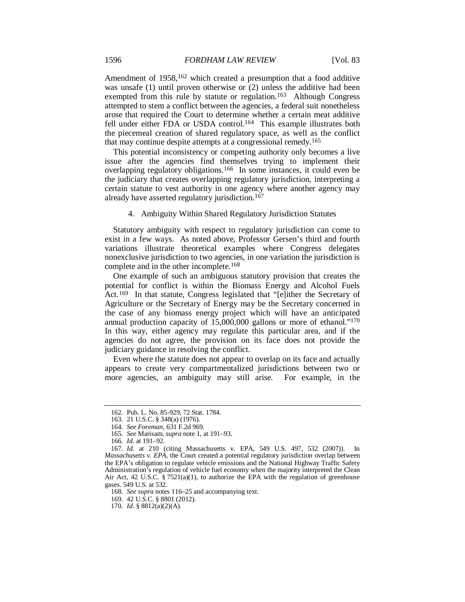Amendment of 1958,<sup>162</sup> which created a presumption that a food additive was unsafe (1) until proven otherwise or (2) unless the additive had been exempted from this rule by statute or regulation.<sup>163</sup> Although Congress attempted to stem a conflict between the agencies, a federal suit nonetheless arose that required the Court to determine whether a certain meat additive fell under either FDA or USDA control.<sup>164</sup> This example illustrates both the piecemeal creation of shared regulatory space, as well as the conflict that may continue despite attempts at a congressional remedy.165

This potential inconsistency or competing authority only becomes a live issue after the agencies find themselves trying to implement their overlapping regulatory obligations.166 In some instances, it could even be the judiciary that creates overlapping regulatory jurisdiction, interpreting a certain statute to vest authority in one agency where another agency may already have asserted regulatory jurisdiction.<sup>167</sup>

4. Ambiguity Within Shared Regulatory Jurisdiction Statutes

Statutory ambiguity with respect to regulatory jurisdiction can come to exist in a few ways. As noted above, Professor Gersen's third and fourth variations illustrate theoretical examples where Congress delegates nonexclusive jurisdiction to two agencies, in one variation the jurisdiction is complete and in the other incomplete.168

One example of such an ambiguous statutory provision that creates the potential for conflict is within the Biomass Energy and Alcohol Fuels Act.169 In that statute, Congress legislated that "[e]ither the Secretary of Agriculture or the Secretary of Energy may be the Secretary concerned in the case of any biomass energy project which will have an anticipated annual production capacity of 15,000,000 gallons or more of ethanol."170 In this way, either agency may regulate this particular area, and if the agencies do not agree, the provision on its face does not provide the judiciary guidance in resolving the conflict.

Even where the statute does not appear to overlap on its face and actually appears to create very compartmentalized jurisdictions between two or more agencies, an ambiguity may still arise. For example, in the

 <sup>162.</sup> Pub. L. No. 85-929, 72 Stat. 1784.

 <sup>163. 21</sup> U.S.C. § 348(a) (1976).

<sup>164</sup>*. See Foreman*, 631 F.2d 969.

<sup>165</sup>*. See* Marisam, *supra* note 1, at 191–93.

<sup>166</sup>*. Id.* at 191–92.

<sup>167</sup>*. Id.* at 210 (citing Massachusetts v. EPA, 549 U.S. 497, 532 (2007)). In *Massachusetts v. EPA*, the Court created a potential regulatory jurisdiction overlap between the EPA's obligation to regulate vehicle emissions and the National Highway Traffic Safety Administration's regulation of vehicle fuel economy when the majority interpreted the Clean Air Act, 42 U.S.C. § 7521(a)(1), to authorize the EPA with the regulation of greenhouse gases. 549 U.S. at 532.

<sup>168</sup>*. See supra* notes 116–25 and accompanying text.

 <sup>169. 42</sup> U.S.C. § 8801 (2012).

<sup>170</sup>*. Id.* § 8812(a)(2)(A).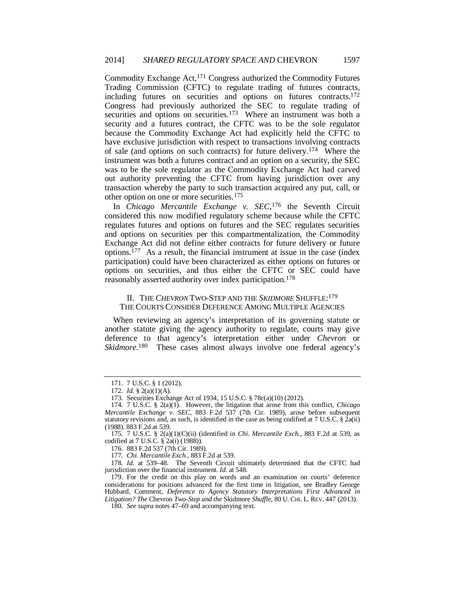Commodity Exchange Act,171 Congress authorized the Commodity Futures Trading Commission (CFTC) to regulate trading of futures contracts, including futures on securities and options on futures contracts.172 Congress had previously authorized the SEC to regulate trading of securities and options on securities.<sup>173</sup> Where an instrument was both a security and a futures contract, the CFTC was to be the sole regulator because the Commodity Exchange Act had explicitly held the CFTC to have exclusive jurisdiction with respect to transactions involving contracts of sale (and options on such contracts) for future delivery.174 Where the instrument was both a futures contract and an option on a security, the SEC was to be the sole regulator as the Commodity Exchange Act had carved out authority preventing the CFTC from having jurisdiction over any transaction whereby the party to such transaction acquired any put, call, or other option on one or more securities.175

In *Chicago Mercantile Exchange v. SEC*, 176 the Seventh Circuit considered this now modified regulatory scheme because while the CFTC regulates futures and options on futures and the SEC regulates securities and options on securities per this compartmentalization, the Commodity Exchange Act did not define either contracts for future delivery or future options.177 As a result, the financial instrument at issue in the case (index participation) could have been characterized as either options on futures or options on securities, and thus either the CFTC or SEC could have reasonably asserted authority over index participation.178

## II. THE *CHEVRON* TWO-STEP AND THE *SKIDMORE* SHUFFLE:179 THE COURTS CONSIDER DEFERENCE AMONG MULTIPLE AGENCIES

When reviewing an agency's interpretation of its governing statute or another statute giving the agency authority to regulate, courts may give deference to that agency's interpretation either under *Chevron* or Skidmore.<sup>180</sup> These cases almost always involve one federal agency's

 <sup>171. 7</sup> U.S.C. § 1 (2012).

<sup>172</sup>*. Id.* § 2(a)(1)(A).

 <sup>173.</sup> Securities Exchange Act of 1934, 15 U.S.C. § 78c(a)(10) (2012).

 <sup>174. 7</sup> U.S.C. § 2(a)(1). However, the litigation that arose from this conflict, *Chicago Mercantile Exchange v. SEC*, 883 F.2d 537 (7th Cir. 1989), arose before subsequent statutory revisions and, as such, is identified in the case as being codified at 7 U.S.C.  $\S$  2a(ii) (1988). 883 F.2d at 539.

 <sup>175. 7</sup> U.S.C. § 2(a)(1)(C)(ii) (identified in *Chi. Mercantile Exch.*, 883 F.2d at 539, as codified at 7 U.S.C. § 2a(i) (1988)).

 <sup>176. 883</sup> F.2d 537 (7th Cir. 1989).

<sup>177</sup>*. Chi. Mercantile Exch.*, 883 F.2d at 539.

<sup>178</sup>*. Id.* at 539–48. The Seventh Circuit ultimately determined that the CFTC had jurisdiction over the financial instrument. *Id.* at 548.

 <sup>179.</sup> For the credit on this play on words and an examination on courts' deference considerations for positions advanced for the first time in litigation, see Bradley George Hubbard, Comment, *Deference to Agency Statutory Interpretations First Advanced in Litigation? The* Chevron *Two-Step and the* Skidmore *Shuffle*, 80 U. CHI. L. REV. 447 (2013).

<sup>180</sup>*. See supra* notes 47–69 and accompanying text.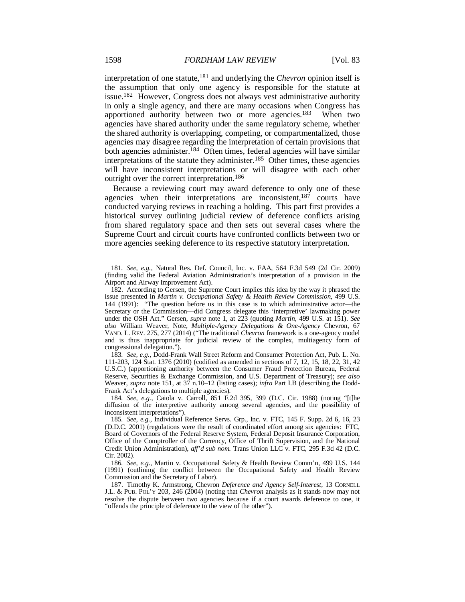interpretation of one statute,181 and underlying the *Chevron* opinion itself is the assumption that only one agency is responsible for the statute at issue.182 However, Congress does not always vest administrative authority in only a single agency, and there are many occasions when Congress has apportioned authority between two or more agencies.183 When two agencies have shared authority under the same regulatory scheme, whether the shared authority is overlapping, competing, or compartmentalized, those agencies may disagree regarding the interpretation of certain provisions that both agencies administer.<sup>184</sup> Often times, federal agencies will have similar interpretations of the statute they administer.185 Other times, these agencies will have inconsistent interpretations or will disagree with each other outright over the correct interpretation.186

Because a reviewing court may award deference to only one of these agencies when their interpretations are inconsistent,  $187$  courts have conducted varying reviews in reaching a holding. This part first provides a historical survey outlining judicial review of deference conflicts arising from shared regulatory space and then sets out several cases where the Supreme Court and circuit courts have confronted conflicts between two or more agencies seeking deference to its respective statutory interpretation.

183*. See, e.g.*, Dodd-Frank Wall Street Reform and Consumer Protection Act, Pub. L. No. 111-203, 124 Stat. 1376 (2010) (codified as amended in sections of 7, 12, 15, 18, 22, 31, 42 U.S.C.) (apportioning authority between the Consumer Fraud Protection Bureau, Federal Reserve, Securities & Exchange Commission, and U.S. Department of Treasury); *see also* Weaver, *supra* note 151, at 37 n.10–12 (listing cases); *infra* Part I.B (describing the Dodd-Frank Act's delegations to multiple agencies).

184*. See, e.g.*, Caiola v. Carroll, 851 F.2d 395, 399 (D.C. Cir. 1988) (noting "[t]he diffusion of the interpretive authority among several agencies, and the possibility of inconsistent interpretations").

186*. See, e.g.*, Martin v. Occupational Safety & Health Review Comm'n, 499 U.S. 144 (1991) (outlining the conflict between the Occupational Safety and Health Review Commission and the Secretary of Labor).

<sup>181</sup>*. See, e.g.*, Natural Res. Def. Council, Inc. v. FAA, 564 F.3d 549 (2d Cir. 2009) (finding valid the Federal Aviation Administration's interpretation of a provision in the Airport and Airway Improvement Act).

 <sup>182.</sup> According to Gersen, the Supreme Court implies this idea by the way it phrased the issue presented in *Martin v. Occupational Safety & Health Review Commission*, 499 U.S. 144 (1991): "The question before us in this case is to which administrative actor—the Secretary or the Commission—did Congress delegate this 'interpretive' lawmaking power under the OSH Act." Gersen, *supra* note 1, at 223 (quoting *Martin*, 499 U.S. at 151). *See also* William Weaver, Note, *Multiple-Agency Delegations & One-Agency* Chevron, 67 VAND. L. REV. 275, 277 (2014) ("The traditional *Chevron* framework is a one-agency model and is thus inappropriate for judicial review of the complex, multiagency form of congressional delegation.").

<sup>185</sup>*. See, e.g.*, Individual Reference Servs. Grp., Inc. v. FTC, 145 F. Supp. 2d 6, 16, 23 (D.D.C. 2001) (regulations were the result of coordinated effort among six agencies: FTC, Board of Governors of the Federal Reserve System, Federal Deposit Insurance Corporation, Office of the Comptroller of the Currency, Office of Thrift Supervision, and the National Credit Union Administration), *aff'd sub nom.* Trans Union LLC v. FTC, 295 F.3d 42 (D.C. Cir. 2002).

 <sup>187.</sup> Timothy K. Armstrong, Chevron *Deference and Agency Self-Interest*, 13 CORNELL J.L. & PUB. POL'Y 203, 246 (2004) (noting that *Chevron* analysis as it stands now may not resolve the dispute between two agencies because if a court awards deference to one, it "offends the principle of deference to the view of the other").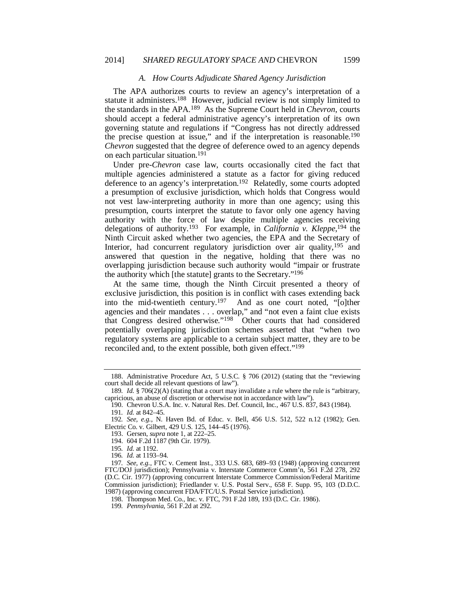#### *A. How Courts Adjudicate Shared Agency Jurisdiction*

The APA authorizes courts to review an agency's interpretation of a statute it administers.<sup>188</sup> However, judicial review is not simply limited to the standards in the APA.189 As the Supreme Court held in *Chevron*, courts should accept a federal administrative agency's interpretation of its own governing statute and regulations if "Congress has not directly addressed the precise question at issue," and if the interpretation is reasonable.<sup>190</sup> *Chevron* suggested that the degree of deference owed to an agency depends on each particular situation.191

Under pre-*Chevron* case law, courts occasionally cited the fact that multiple agencies administered a statute as a factor for giving reduced deference to an agency's interpretation.<sup>192</sup> Relatedly, some courts adopted a presumption of exclusive jurisdiction, which holds that Congress would not vest law-interpreting authority in more than one agency; using this presumption, courts interpret the statute to favor only one agency having authority with the force of law despite multiple agencies receiving delegations of authority.193 For example, in *California v. Kleppe*, 194 the Ninth Circuit asked whether two agencies, the EPA and the Secretary of Interior, had concurrent regulatory jurisdiction over air quality,<sup>195</sup> and answered that question in the negative, holding that there was no overlapping jurisdiction because such authority would "impair or frustrate the authority which [the statute] grants to the Secretary."196

At the same time, though the Ninth Circuit presented a theory of exclusive jurisdiction, this position is in conflict with cases extending back<br>into the mid-twentieth century.<sup>197</sup> And as one court noted, "[o]ther And as one court noted, "[o]ther agencies and their mandates . . . overlap," and "not even a faint clue exists that Congress desired otherwise."198 Other courts that had considered potentially overlapping jurisdiction schemes asserted that "when two regulatory systems are applicable to a certain subject matter, they are to be reconciled and, to the extent possible, both given effect."199

 <sup>188.</sup> Administrative Procedure Act, 5 U.S.C. § 706 (2012) (stating that the "reviewing court shall decide all relevant questions of law").

<sup>189</sup>*. Id.* § 706(2)(A) (stating that a court may invalidate a rule where the rule is "arbitrary, capricious, an abuse of discretion or otherwise not in accordance with law").

 <sup>190.</sup> Chevron U.S.A. Inc. v. Natural Res. Def. Council, Inc., 467 U.S. 837, 843 (1984). 191*. Id.* at 842–45.

<sup>192</sup>*. See, e.g.*, N. Haven Bd. of Educ. v. Bell, 456 U.S. 512, 522 n.12 (1982); Gen. Electric Co. v. Gilbert, 429 U.S. 125, 144–45 (1976).

 <sup>193.</sup> Gersen, *supra* note 1, at 222–25.

 <sup>194. 604</sup> F.2d 1187 (9th Cir. 1979).

<sup>195</sup>*. Id.* at 1192.

<sup>196</sup>*. Id.* at 1193–94.

<sup>197</sup>*. See, e.g.*, FTC v. Cement Inst., 333 U.S. 683, 689–93 (1948) (approving concurrent FTC/DOJ jurisdiction); Pennsylvania v. Interstate Commerce Comm'n, 561 F.2d 278, 292 (D.C. Cir. 1977) (approving concurrent Interstate Commerce Commission/Federal Maritime Commission jurisdiction); Friedlander v. U.S. Postal Serv., 658 F. Supp. 95, 103 (D.D.C. 1987) (approving concurrent FDA/FTC/U.S. Postal Service jurisdiction).

 <sup>198.</sup> Thompson Med. Co., Inc. v. FTC, 791 F.2d 189, 193 (D.C. Cir. 1986).

<sup>199</sup>*. Pennsylvania*, 561 F.2d at 292.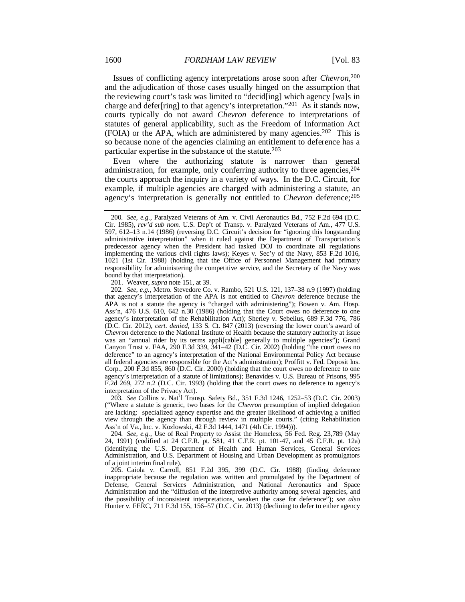Issues of conflicting agency interpretations arose soon after *Chevron*, 200 and the adjudication of those cases usually hinged on the assumption that the reviewing court's task was limited to "decid[ing] which agency [wa]s in charge and defer[ring] to that agency's interpretation."201 As it stands now, courts typically do not award *Chevron* deference to interpretations of statutes of general applicability, such as the Freedom of Information Act (FOIA) or the APA, which are administered by many agencies.202 This is so because none of the agencies claiming an entitlement to deference has a particular expertise in the substance of the statute.203

Even where the authorizing statute is narrower than general administration, for example, only conferring authority to three agencies,  $204$ the courts approach the inquiry in a variety of ways. In the D.C. Circuit, for example, if multiple agencies are charged with administering a statute, an agency's interpretation is generally not entitled to *Chevron* deference;205

201. Weaver, *supra* note 151, at 39.

202*. See, e.g.*, Metro. Stevedore Co. v. Rambo, 521 U.S. 121, 137–38 n.9 (1997) (holding that agency's interpretation of the APA is not entitled to *Chevron* deference because the APA is not a statute the agency is "charged with administering"); Bowen v. Am. Hosp. Ass'n, 476 U.S. 610, 642 n.30 (1986) (holding that the Court owes no deference to one agency's interpretation of the Rehabilitation Act); Sherley v. Sebelius, 689 F.3d 776, 786 (D.C. Cir. 2012), *cert. denied*, 133 S. Ct. 847 (2013) (reversing the lower court's award of *Chevron* deference to the National Institute of Health because the statutory authority at issue was an "annual rider by its terms appli[cable] generally to multiple agencies"); Grand Canyon Trust v. FAA, 290 F.3d 339, 341–42 (D.C. Cir. 2002) (holding "the court owes no deference" to an agency's interpretation of the National Environmental Policy Act because all federal agencies are responsible for the Act's administration); Proffitt v. Fed. Deposit Ins. Corp., 200 F.3d 855, 860 (D.C. Cir. 2000) (holding that the court owes no deference to one agency's interpretation of a statute of limitations); Benavides v. U.S. Bureau of Prisons, 995 F.2d 269, 272 n.2 (D.C. Cir. 1993) (holding that the court owes no deference to agency's interpretation of the Privacy Act).

203*. See* Collins v. Nat'l Transp. Safety Bd., 351 F.3d 1246, 1252–53 (D.C. Cir. 2003) ("Where a statute is generic, two bases for the *Chevron* presumption of implied delegation are lacking: specialized agency expertise and the greater likelihood of achieving a unified view through the agency than through review in multiple courts." (citing Rehabilitation Ass'n of Va., Inc. v. Kozlowski, 42 F.3d 1444, 1471 (4th Cir. 1994))).

204*. See, e.g.*, Use of Real Property to Assist the Homeless, 56 Fed. Reg. 23,789 (May 24, 1991) (codified at 24 C.F.R. pt. 581, 41 C.F.R. pt. 101-47, and 45 C.F.R. pt. 12a) (identifying the U.S. Department of Health and Human Services, General Services Administration, and U.S. Department of Housing and Urban Development as promulgators of a joint interim final rule).

 205. Caiola v. Carroll, 851 F.2d 395, 399 (D.C. Cir. 1988) (finding deference inappropriate because the regulation was written and promulgated by the Department of Defense, General Services Administration, and National Aeronautics and Space Administration and the "diffusion of the interpretive authority among several agencies, and the possibility of inconsistent interpretations, weaken the case for deference"); *see also* Hunter v. FERC, 711 F.3d 155, 156–57 (D.C. Cir. 2013) (declining to defer to either agency

<sup>200</sup>*. See, e.g.*, Paralyzed Veterans of Am. v. Civil Aeronautics Bd., 752 F.2d 694 (D.C. Cir. 1985), *rev'd sub nom.* U.S. Dep't of Transp. v. Paralyzed Veterans of Am., 477 U.S. 597, 612–13 n.14 (1986) (reversing D.C. Circuit's decision for "ignoring this longstanding administrative interpretation" when it ruled against the Department of Transportation's predecessor agency when the President had tasked DOJ to coordinate all regulations implementing the various civil rights laws); Keyes v. Sec'y of the Navy, 853 F.2d 1016, 1021 (1st Cir. 1988) (holding that the Office of Personnel Management had primary responsibility for administering the competitive service, and the Secretary of the Navy was bound by that interpretation).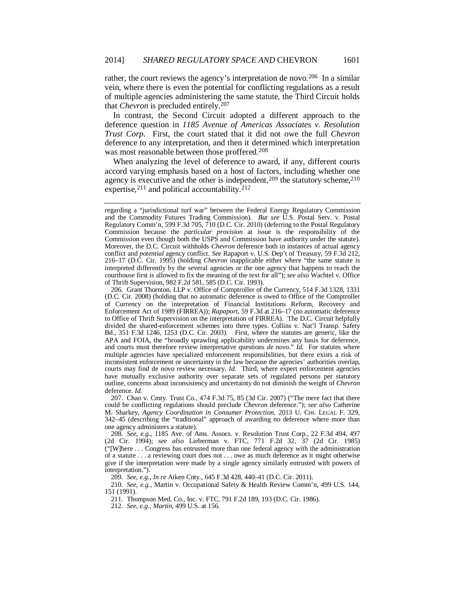rather, the court reviews the agency's interpretation de novo.<sup>206</sup> In a similar vein, where there is even the potential for conflicting regulations as a result of multiple agencies administering the same statute, the Third Circuit holds that *Chevron* is precluded entirely.207

In contrast, the Second Circuit adopted a different approach to the deference question in *1185 Avenue of Americas Associates v. Resolution Trust Corp*. First, the court stated that it did not owe the full *Chevron* deference to any interpretation, and then it determined which interpretation was most reasonable between those proffered.<sup>208</sup>

When analyzing the level of deference to award, if any, different courts accord varying emphasis based on a host of factors, including whether one agency is executive and the other is independent,  $209$  the statutory scheme,  $210$ expertise,  $2^{11}$  and political accountability.  $2^{12}$ 

 207. Chao v. Cmty. Trust Co., 474 F.3d 75, 85 (3d Cir. 2007) ("The mere fact that there could be conflicting regulations should preclude *Chevron* deference."); *see also* Catherine M. Sharkey, *Agency Coordination in Consumer Protection*, 2013 U. CHI. LEGAL F. 329, 342–45 (describing the "traditional" approach of awarding no deference where more than one agency administers a statute).

208*. See, e.g.*, 1185 Ave. of Ams. Assocs. v. Resolution Trust Corp., 22 F.3d 494, 497 (2d Cir. 1994); *see also* Lieberman v. FTC, 771 F.2d 32, 37 (2d Cir. 1985) ("[W]here . . . Congress has entrusted more than one federal agency with the administration of a statute . . . a reviewing court does not . . . owe as much deference as it might otherwise give if the interpretation were made by a single agency similarly entrusted with powers of interpretation.").

209*. See, e.g.*, *In re* Aiken Cnty., 645 F.3d 428, 440–41 (D.C. Cir. 2011).

210*. See, e.g.*, Martin v. Occupational Safety & Health Review Comm'n, 499 U.S. 144, 151 (1991).

211*.* Thompson Med. Co., Inc. v. FTC, 791 F.2d 189, 193 (D.C. Cir. 1986).

212*. See, e.g.*, *Martin*, 499 U.S. at 156.

regarding a "jurisdictional turf war" between the Federal Energy Regulatory Commission and the Commodity Futures Trading Commission). *But see* U.S. Postal Serv. v. Postal Regulatory Comm'n, 599 F.3d 705, 710 (D.C. Cir. 2010) (deferring to the Postal Regulatory Commission because the *particular provision* at issue is the responsibility of the Commission even though both the USPS and Commission have authority under the statute). Moreover, the D.C. Circuit withholds *Chevron* deference both in instances of actual agency conflict and *potential* agency conflict. *See* Rapaport v. U.S. Dep't of Treasury, 59 F.3d 212, 216–17 (D.C. Cir. 1995) (holding *Chevron* inapplicable either where "the same statute is interpreted differently by the several agencies or the one agency that happens to reach the courthouse first is allowed to fix the meaning of the text for all"); *see also* Wachtel v. Office of Thrift Supervision, 982 F.2d 581, 585 (D.C. Cir. 1993).

<sup>206</sup>*.* Grant Thornton, LLP v. Office of Comptroller of the Currency, 514 F.3d 1328, 1331 (D.C. Cir. 2008) (holding that no automatic deference is owed to Office of the Comptroller of Currency on the interpretation of Financial Institutions Reform, Recovery and Enforcement Act of 1989 (FIRREA)); *Rapaport*, 59 F.3d at 216–17 (no automatic deference to Office of Thrift Supervision on the interpretation of FIRREA). The D.C. Circuit helpfully divided the shared-enforcement schemes into three types. Collins v. Nat'l Transp. Safety Bd., 351 F.3d 1246, 1253 (D.C. Cir. 2003). First, where the statutes are generic, like the APA and FOIA, the "broadly sprawling applicability undermines any basis for deference, and courts must therefore review interpretative questions *de novo*." *Id.* For statutes where multiple agencies have specialized enforcement responsibilities, but there exists a risk of inconsistent enforcement or uncertainty in the law because the agencies' authorities overlap, courts may find de novo review necessary. *Id.* Third, where expert enforcement agencies have mutually exclusive authority over separate sets of regulated persons per statutory outline, concerns about inconsistency and uncertainty do not diminish the weight of *Chevron* deference. *Id.*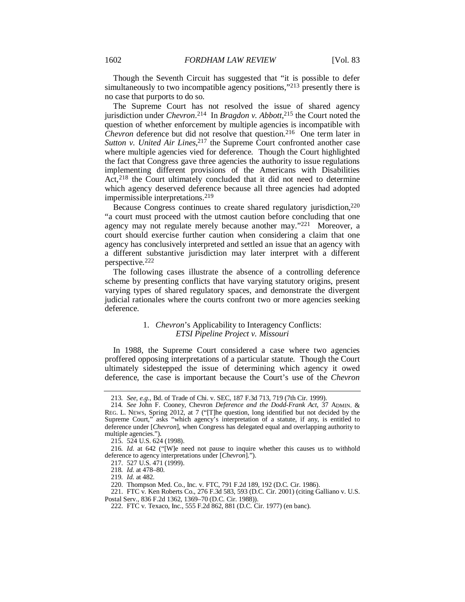Though the Seventh Circuit has suggested that "it is possible to defer simultaneously to two incompatible agency positions,"<sup>213</sup> presently there is no case that purports to do so.

The Supreme Court has not resolved the issue of shared agency jurisdiction under *Chevron*. 214 In *Bragdon v. Abbott*, 215 the Court noted the question of whether enforcement by multiple agencies is incompatible with *Chevron* deference but did not resolve that question.<sup>216</sup> One term later in Sutton v. United Air Lines,<sup>217</sup> the Supreme Court confronted another case where multiple agencies vied for deference. Though the Court highlighted the fact that Congress gave three agencies the authority to issue regulations implementing different provisions of the Americans with Disabilities Act,<sup>218</sup> the Court ultimately concluded that it did not need to determine which agency deserved deference because all three agencies had adopted impermissible interpretations.219

Because Congress continues to create shared regulatory jurisdiction,<sup>220</sup> "a court must proceed with the utmost caution before concluding that one agency may not regulate merely because another may."221 Moreover, a court should exercise further caution when considering a claim that one agency has conclusively interpreted and settled an issue that an agency with a different substantive jurisdiction may later interpret with a different perspective.222

The following cases illustrate the absence of a controlling deference scheme by presenting conflicts that have varying statutory origins, present varying types of shared regulatory spaces, and demonstrate the divergent judicial rationales where the courts confront two or more agencies seeking deference.

# 1. *Chevron*'s Applicability to Interagency Conflicts: *ETSI Pipeline Project v. Missouri*

In 1988, the Supreme Court considered a case where two agencies proffered opposing interpretations of a particular statute. Though the Court ultimately sidestepped the issue of determining which agency it owed deference, the case is important because the Court's use of the *Chevron*

<sup>213</sup>*. See, e.g.*, Bd. of Trade of Chi. v. SEC, 187 F.3d 713, 719 (7th Cir. 1999).

<sup>214</sup>*. See* John F. Cooney, Chevron *Deference and the Dodd-Frank Act*, 37 ADMIN. & REG. L. NEWS, Spring 2012, at 7 ("[T]he question, long identified but not decided by the Supreme Court," asks "which agency's interpretation of a statute, if any, is entitled to deference under [*Chevron*], when Congress has delegated equal and overlapping authority to multiple agencies.").

 <sup>215. 524</sup> U.S. 624 (1998).

<sup>216</sup>*. Id.* at 642 ("[W]e need not pause to inquire whether this causes us to withhold deference to agency interpretations under [*Chevron*].").

 <sup>217. 527</sup> U.S. 471 (1999).

<sup>218</sup>*. Id.* at 478–80.

<sup>219</sup>*. Id.* at 482.

 <sup>220.</sup> Thompson Med. Co., Inc. v. FTC, 791 F.2d 189, 192 (D.C. Cir. 1986).

 <sup>221.</sup> FTC v. Ken Roberts Co., 276 F.3d 583, 593 (D.C. Cir. 2001) (citing Galliano v. U.S. Postal Serv., 836 F.2d 1362, 1369–70 (D.C. Cir. 1988)).

 <sup>222.</sup> FTC v. Texaco, Inc., 555 F.2d 862, 881 (D.C. Cir. 1977) (en banc).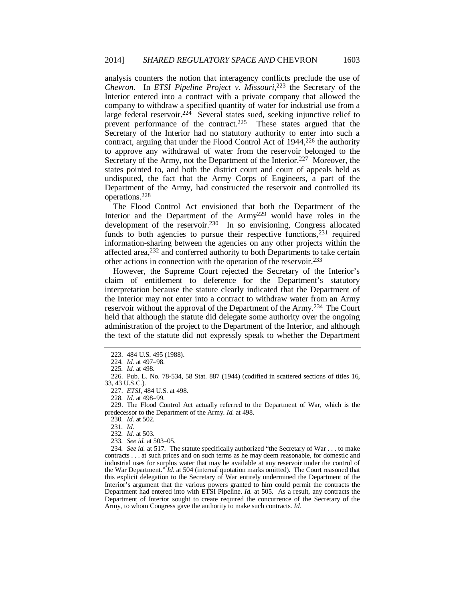analysis counters the notion that interagency conflicts preclude the use of *Chevron*. In *ETSI Pipeline Project v. Missouri*, 223 the Secretary of the Interior entered into a contract with a private company that allowed the company to withdraw a specified quantity of water for industrial use from a large federal reservoir.<sup>224</sup> Several states sued, seeking injunctive relief to prevent performance of the contract.225 These states argued that the Secretary of the Interior had no statutory authority to enter into such a contract, arguing that under the Flood Control Act of 1944,<sup>226</sup> the authority to approve any withdrawal of water from the reservoir belonged to the Secretary of the Army, not the Department of the Interior.<sup>227</sup> Moreover, the states pointed to, and both the district court and court of appeals held as undisputed, the fact that the Army Corps of Engineers, a part of the Department of the Army, had constructed the reservoir and controlled its operations.228

The Flood Control Act envisioned that both the Department of the Interior and the Department of the Army<sup>229</sup> would have roles in the development of the reservoir.<sup>230</sup> In so envisioning, Congress allocated funds to both agencies to pursue their respective functions,  $231$  required information-sharing between the agencies on any other projects within the affected area,<sup>232</sup> and conferred authority to both Departments to take certain other actions in connection with the operation of the reservoir.233

However, the Supreme Court rejected the Secretary of the Interior's claim of entitlement to deference for the Department's statutory interpretation because the statute clearly indicated that the Department of the Interior may not enter into a contract to withdraw water from an Army reservoir without the approval of the Department of the Army.234 The Court held that although the statute did delegate some authority over the ongoing administration of the project to the Department of the Interior, and although the text of the statute did not expressly speak to whether the Department

227. *ETSI*, 484 U.S. at 498.

228*. Id.* at 498–99.

 229. The Flood Control Act actually referred to the Department of War, which is the predecessor to the Department of the Army. *Id.* at 498.

230*. Id.* at 502.

231*. Id.*

232*. Id.* at 503.

233*. See id.* at 503–05.

234*. See id.* at 517. The statute specifically authorized "the Secretary of War . . . to make contracts . . . at such prices and on such terms as he may deem reasonable, for domestic and industrial uses for surplus water that may be available at any reservoir under the control of the War Department." *Id.* at 504 (internal quotation marks omitted). The Court reasoned that this explicit delegation to the Secretary of War entirely undermined the Department of the Interior's argument that the various powers granted to him could permit the contracts the Department had entered into with ETSI Pipeline. *Id.* at 505. As a result, any contracts the Department of Interior sought to create required the concurrence of the Secretary of the Army, to whom Congress gave the authority to make such contracts. *Id.*

 <sup>223. 484</sup> U.S. 495 (1988).

<sup>224</sup>*. Id.* at 497–98.

<sup>225</sup>*. Id.* at 498.

 <sup>226.</sup> Pub. L. No. 78-534, 58 Stat. 887 (1944) (codified in scattered sections of titles 16, 33, 43 U.S.C.).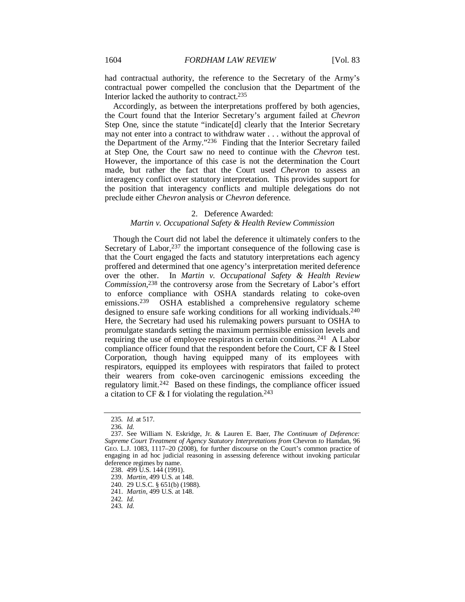had contractual authority, the reference to the Secretary of the Army's contractual power compelled the conclusion that the Department of the Interior lacked the authority to contract.235

Accordingly, as between the interpretations proffered by both agencies, the Court found that the Interior Secretary's argument failed at *Chevron* Step One, since the statute "indicate<sup>[d]</sup> clearly that the Interior Secretary may not enter into a contract to withdraw water . . . without the approval of the Department of the Army."236 Finding that the Interior Secretary failed at Step One, the Court saw no need to continue with the *Chevron* test. However, the importance of this case is not the determination the Court made, but rather the fact that the Court used *Chevron* to assess an interagency conflict over statutory interpretation. This provides support for the position that interagency conflicts and multiple delegations do not preclude either *Chevron* analysis or *Chevron* deference.

#### 2. Deference Awarded:

## *Martin v. Occupational Safety & Health Review Commission*

Though the Court did not label the deference it ultimately confers to the Secretary of Labor,  $237$  the important consequence of the following case is that the Court engaged the facts and statutory interpretations each agency proffered and determined that one agency's interpretation merited deference over the other. In *Martin v. Occupational Safety & Health Review Commission*, 238 the controversy arose from the Secretary of Labor's effort to enforce compliance with OSHA standards relating to coke-oven emissions.239 OSHA established a comprehensive regulatory scheme designed to ensure safe working conditions for all working individuals.240 Here, the Secretary had used his rulemaking powers pursuant to OSHA to promulgate standards setting the maximum permissible emission levels and requiring the use of employee respirators in certain conditions.241 A Labor compliance officer found that the respondent before the Court, CF & I Steel Corporation, though having equipped many of its employees with respirators, equipped its employees with respirators that failed to protect their wearers from coke-oven carcinogenic emissions exceeding the regulatory limit.242 Based on these findings, the compliance officer issued a citation to CF  $&$  I for violating the regulation.<sup>243</sup>

<sup>235</sup>*. Id.* at 517.

<sup>236</sup>*. Id.*

 <sup>237.</sup> See William N. Eskridge, Jr. & Lauren E. Baer, *The Continuum of Deference: Supreme Court Treatment of Agency Statutory Interpretations from Chevron to Hamdan, 96* GEO. L.J. 1083, 1117–20 (2008), for further discourse on the Court's common practice of engaging in ad hoc judicial reasoning in assessing deference without invoking particular deference regimes by name.

 <sup>238. 499</sup> U.S. 144 (1991).

 <sup>239.</sup> *Martin*, 499 U.S. at 148.

 <sup>240. 29</sup> U.S.C. § 651(b) (1988).

 <sup>241.</sup> *Martin*, 499 U.S. at 148.

<sup>242</sup>*. Id.*

<sup>243</sup>*. Id.*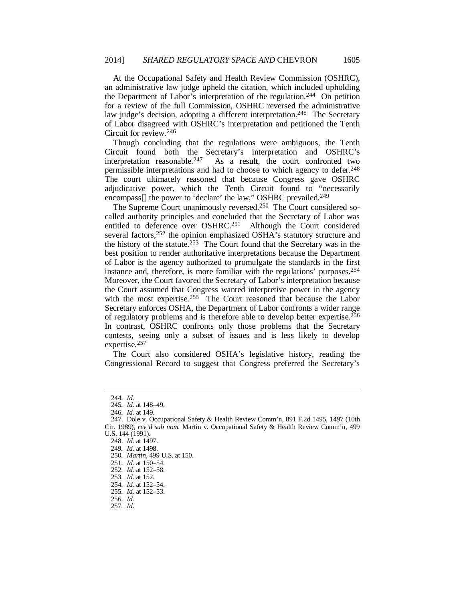At the Occupational Safety and Health Review Commission (OSHRC), an administrative law judge upheld the citation, which included upholding the Department of Labor's interpretation of the regulation.<sup>244</sup> On petition for a review of the full Commission, OSHRC reversed the administrative law judge's decision, adopting a different interpretation.<sup>245</sup> The Secretary of Labor disagreed with OSHRC's interpretation and petitioned the Tenth Circuit for review.246

Though concluding that the regulations were ambiguous, the Tenth Circuit found both the Secretary's interpretation and OSHRC's interpretation reasonable.<sup>247</sup> As a result, the court confronted two As a result, the court confronted two permissible interpretations and had to choose to which agency to defer.248 The court ultimately reasoned that because Congress gave OSHRC adjudicative power, which the Tenth Circuit found to "necessarily encompass<sup>[]</sup> the power to 'declare' the law," OSHRC prevailed.<sup>249</sup>

The Supreme Court unanimously reversed.250 The Court considered socalled authority principles and concluded that the Secretary of Labor was entitled to deference over OSHRC.251 Although the Court considered several factors,<sup>252</sup> the opinion emphasized OSHA's statutory structure and the history of the statute.<sup>253</sup> The Court found that the Secretary was in the best position to render authoritative interpretations because the Department of Labor is the agency authorized to promulgate the standards in the first instance and, therefore, is more familiar with the regulations' purposes.254 Moreover, the Court favored the Secretary of Labor's interpretation because the Court assumed that Congress wanted interpretive power in the agency with the most expertise.<sup>255</sup> The Court reasoned that because the Labor Secretary enforces OSHA, the Department of Labor confronts a wider range of regulatory problems and is therefore able to develop better expertise.256 In contrast, OSHRC confronts only those problems that the Secretary contests, seeing only a subset of issues and is less likely to develop expertise.257

The Court also considered OSHA's legislative history, reading the Congressional Record to suggest that Congress preferred the Secretary's

<sup>244</sup>*. Id.*

<sup>245</sup>*. Id.* at 148–49.

<sup>246</sup>*. Id.* at 149.

 <sup>247.</sup> Dole v. Occupational Safety & Health Review Comm'n, 891 F.2d 1495, 1497 (10th Cir. 1989), *rev'd sub nom.* Martin v. Occupational Safety & Health Review Comm'n, 499 U.S. 144 (1991).

 <sup>248.</sup> *Id.* at 1497.

<sup>249</sup>*. Id.* at 1498.

<sup>250</sup>*. Martin*, 499 U.S. at 150.

<sup>251</sup>*. Id.* at 150–54.

<sup>252</sup>*. Id.* at 152–58.

<sup>253</sup>*. Id.* at 152.

<sup>254</sup>*. Id.* at 152–54. 255*. Id.* at 152–53.

<sup>256</sup>*. Id.*

<sup>257</sup>*. Id.*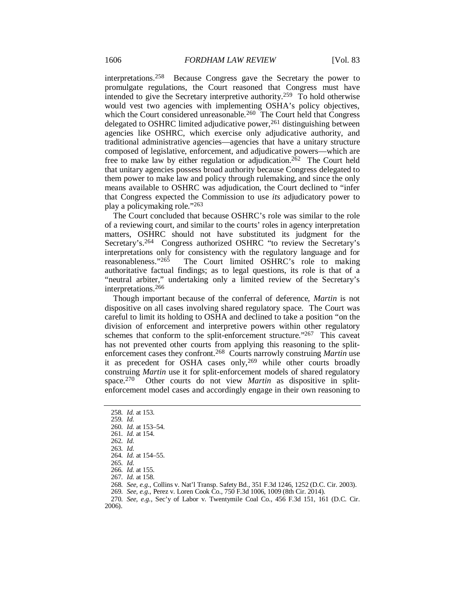interpretations.258 Because Congress gave the Secretary the power to promulgate regulations, the Court reasoned that Congress must have intended to give the Secretary interpretive authority.259 To hold otherwise would vest two agencies with implementing OSHA's policy objectives, which the Court considered unreasonable.<sup>260</sup> The Court held that Congress delegated to OSHRC limited adjudicative power,<sup>261</sup> distinguishing between agencies like OSHRC, which exercise only adjudicative authority, and traditional administrative agencies—agencies that have a unitary structure composed of legislative, enforcement, and adjudicative powers—which are free to make law by either regulation or adjudication.<sup>262</sup> The Court held that unitary agencies possess broad authority because Congress delegated to them power to make law and policy through rulemaking, and since the only means available to OSHRC was adjudication, the Court declined to "infer that Congress expected the Commission to use *its* adjudicatory power to play a policymaking role."263

The Court concluded that because OSHRC's role was similar to the role of a reviewing court, and similar to the courts' roles in agency interpretation matters, OSHRC should not have substituted its judgment for the Secretary's.<sup>264</sup> Congress authorized OSHRC "to review the Secretary's interpretations only for consistency with the regulatory language and for reasonableness."265 The Court limited OSHRC's role to making The Court limited OSHRC's role to making authoritative factual findings; as to legal questions, its role is that of a "neutral arbiter," undertaking only a limited review of the Secretary's interpretations.266

Though important because of the conferral of deference, *Martin* is not dispositive on all cases involving shared regulatory space. The Court was careful to limit its holding to OSHA and declined to take a position "on the division of enforcement and interpretive powers within other regulatory schemes that conform to the split-enforcement structure."267 This caveat has not prevented other courts from applying this reasoning to the splitenforcement cases they confront.268 Courts narrowly construing *Martin* use it as precedent for OSHA cases only,<sup>269</sup> while other courts broadly construing *Martin* use it for split-enforcement models of shared regulatory space.270 Other courts do not view *Martin* as dispositive in splitenforcement model cases and accordingly engage in their own reasoning to

268*. See, e.g.*, Collins v. Nat'l Transp. Safety Bd., 351 F.3d 1246, 1252 (D.C. Cir. 2003).

<sup>258</sup>*. Id.* at 153.

<sup>259</sup>*. Id.*

<sup>260</sup>*. Id.* at 153–54. 261*. Id.* at 154.

<sup>262</sup>*. Id.*

<sup>263</sup>*. Id.*

<sup>264</sup>*. Id.* at 154–55.

<sup>265</sup>*. Id.*

<sup>266</sup>*. Id.* at 155.

<sup>267</sup>*. Id.* at 158.

<sup>269</sup>*. See, e.g.*, Perez v. Loren Cook Co., 750 F.3d 1006, 1009 (8th Cir. 2014).

<sup>270</sup>*. See, e.g.*, Sec'y of Labor v. Twentymile Coal Co., 456 F.3d 151, 161 (D.C. Cir. 2006).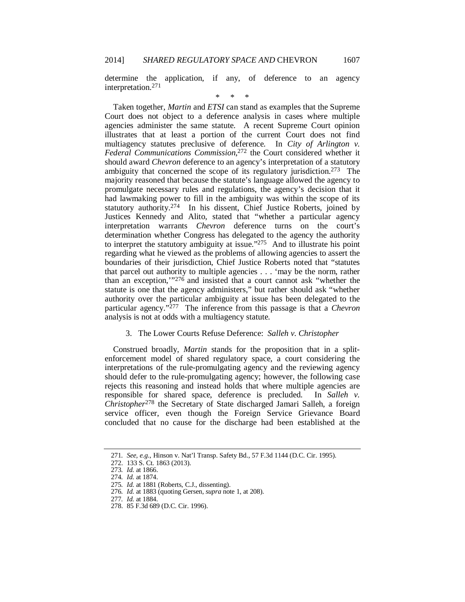determine the application, if any, of deference to an agency interpretation.271

\* \* \*

Taken together, *Martin* and *ETSI* can stand as examples that the Supreme Court does not object to a deference analysis in cases where multiple agencies administer the same statute. A recent Supreme Court opinion illustrates that at least a portion of the current Court does not find multiagency statutes preclusive of deference. In *City of Arlington v. Federal Communications Commission*, 272 the Court considered whether it should award *Chevron* deference to an agency's interpretation of a statutory ambiguity that concerned the scope of its regulatory jurisdiction.273 The majority reasoned that because the statute's language allowed the agency to promulgate necessary rules and regulations, the agency's decision that it had lawmaking power to fill in the ambiguity was within the scope of its statutory authority.274 In his dissent, Chief Justice Roberts, joined by Justices Kennedy and Alito, stated that "whether a particular agency interpretation warrants *Chevron* deference turns on the court's determination whether Congress has delegated to the agency the authority to interpret the statutory ambiguity at issue."275 And to illustrate his point regarding what he viewed as the problems of allowing agencies to assert the boundaries of their jurisdiction, Chief Justice Roberts noted that "statutes that parcel out authority to multiple agencies . . . 'may be the norm, rather than an exception,'"276 and insisted that a court cannot ask "whether the statute is one that the agency administers," but rather should ask "whether authority over the particular ambiguity at issue has been delegated to the particular agency."277 The inference from this passage is that a *Chevron* analysis is not at odds with a multiagency statute.

# 3. The Lower Courts Refuse Deference: *Salleh v. Christopher*

Construed broadly, *Martin* stands for the proposition that in a splitenforcement model of shared regulatory space, a court considering the interpretations of the rule-promulgating agency and the reviewing agency should defer to the rule-promulgating agency; however, the following case rejects this reasoning and instead holds that where multiple agencies are responsible for shared space, deference is precluded. In *Salleh v. Christopher*278 the Secretary of State discharged Jamari Salleh, a foreign service officer, even though the Foreign Service Grievance Board concluded that no cause for the discharge had been established at the

<sup>271</sup>*. See, e.g.*, Hinson v. Nat'l Transp. Safety Bd., 57 F.3d 1144 (D.C. Cir. 1995).

 <sup>272. 133</sup> S. Ct. 1863 (2013).

<sup>273</sup>*. Id.* at 1866.

<sup>274</sup>*. Id.* at 1874.

<sup>275</sup>*. Id.* at 1881 (Roberts, C.J., dissenting).

<sup>276</sup>*. Id.* at 1883 (quoting Gersen, *supra* note 1, at 208).

<sup>277</sup>*. Id.* at 1884.

 <sup>278. 85</sup> F.3d 689 (D.C. Cir. 1996).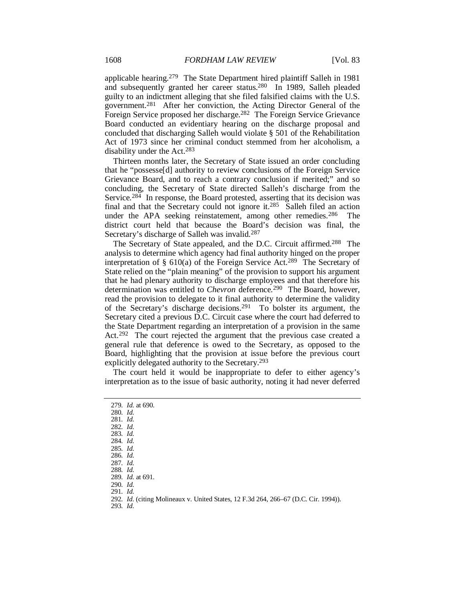applicable hearing.279 The State Department hired plaintiff Salleh in 1981 and subsequently granted her career status.280 In 1989, Salleh pleaded guilty to an indictment alleging that she filed falsified claims with the U.S. government.281 After her conviction, the Acting Director General of the Foreign Service proposed her discharge.282 The Foreign Service Grievance Board conducted an evidentiary hearing on the discharge proposal and concluded that discharging Salleh would violate § 501 of the Rehabilitation Act of 1973 since her criminal conduct stemmed from her alcoholism, a disability under the Act.283

Thirteen months later, the Secretary of State issued an order concluding that he "possesse[d] authority to review conclusions of the Foreign Service Grievance Board, and to reach a contrary conclusion if merited;" and so concluding, the Secretary of State directed Salleh's discharge from the Service.<sup>284</sup> In response, the Board protested, asserting that its decision was final and that the Secretary could not ignore it.285 Salleh filed an action under the APA seeking reinstatement, among other remedies.<sup>286</sup> The district court held that because the Board's decision was final, the Secretary's discharge of Salleh was invalid.<sup>287</sup>

The Secretary of State appealed, and the D.C. Circuit affirmed.288 The analysis to determine which agency had final authority hinged on the proper interpretation of § 610(a) of the Foreign Service Act.289 The Secretary of State relied on the "plain meaning" of the provision to support his argument that he had plenary authority to discharge employees and that therefore his determination was entitled to *Chevron* deference.<sup>290</sup> The Board, however, read the provision to delegate to it final authority to determine the validity of the Secretary's discharge decisions.291 To bolster its argument, the Secretary cited a previous D.C. Circuit case where the court had deferred to the State Department regarding an interpretation of a provision in the same Act.<sup>292</sup> The court rejected the argument that the previous case created a general rule that deference is owed to the Secretary, as opposed to the Board, highlighting that the provision at issue before the previous court explicitly delegated authority to the Secretary.293

The court held it would be inappropriate to defer to either agency's interpretation as to the issue of basic authority, noting it had never deferred

279*. Id.* at 690. 280*. Id.* 281*. Id.* 282*. Id.* 283*. Id.* 284*. Id.* 285*. Id.* 286*. Id.* 287*. Id.* 288*. Id.* 289*. Id.* at 691. 290*. Id.* 291*. Id.* 292*. Id.* (citing Molineaux v. United States, 12 F.3d 264, 266–67 (D.C. Cir. 1994)). 293*. Id.*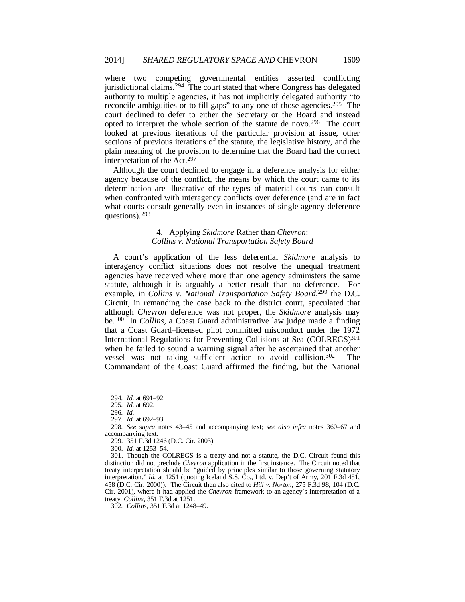where two competing governmental entities asserted conflicting jurisdictional claims.<sup>294</sup> The court stated that where Congress has delegated authority to multiple agencies, it has not implicitly delegated authority "to reconcile ambiguities or to fill gaps" to any one of those agencies.295 The court declined to defer to either the Secretary or the Board and instead opted to interpret the whole section of the statute de novo.296 The court looked at previous iterations of the particular provision at issue, other sections of previous iterations of the statute, the legislative history, and the plain meaning of the provision to determine that the Board had the correct interpretation of the Act.297

Although the court declined to engage in a deference analysis for either agency because of the conflict, the means by which the court came to its determination are illustrative of the types of material courts can consult when confronted with interagency conflicts over deference (and are in fact what courts consult generally even in instances of single-agency deference questions).298

## 4. Applying *Skidmore* Rather than *Chevron*: *Collins v. National Transportation Safety Board*

A court's application of the less deferential *Skidmore* analysis to interagency conflict situations does not resolve the unequal treatment agencies have received where more than one agency administers the same statute, although it is arguably a better result than no deference. For example, in *Collins v. National Transportation Safety Board*,<sup>299</sup> the D.C. Circuit, in remanding the case back to the district court, speculated that although *Chevron* deference was not proper, the *Skidmore* analysis may be.300 In *Collins*, a Coast Guard administrative law judge made a finding that a Coast Guard–licensed pilot committed misconduct under the 1972 International Regulations for Preventing Collisions at Sea (COLREGS)<sup>301</sup> when he failed to sound a warning signal after he ascertained that another vessel was not taking sufficient action to avoid collision.302 The Commandant of the Coast Guard affirmed the finding, but the National

<sup>294</sup>*. Id.* at 691–92.

<sup>295</sup>*. Id.* at 692.

<sup>296</sup>*. Id.*

<sup>297</sup>*. Id.* at 692–93.

<sup>298</sup>*. See supra* notes 43–45 and accompanying text; *see also infra* notes 360–67 and accompanying text.

 <sup>299. 351</sup> F.3d 1246 (D.C. Cir. 2003).

 <sup>300.</sup> *Id.* at 1253–54.

 <sup>301.</sup> Though the COLREGS is a treaty and not a statute, the D.C. Circuit found this distinction did not preclude *Chevron* application in the first instance. The Circuit noted that treaty interpretation should be "guided by principles similar to those governing statutory interpretation." *Id.* at 1251 (quoting Iceland S.S. Co., Ltd. v. Dep't of Army*,* 201 F.3d 451, 458 (D.C. Cir. 2000)). The Circuit then also cited to *Hill v. Norton,* 275 F.3d 98, 104 (D.C. Cir. 2001), where it had applied the *Chevron* framework to an agency's interpretation of a treaty. *Collins*, 351 F.3d at 1251.

<sup>302</sup>*. Collins*, 351 F.3d at 1248–49.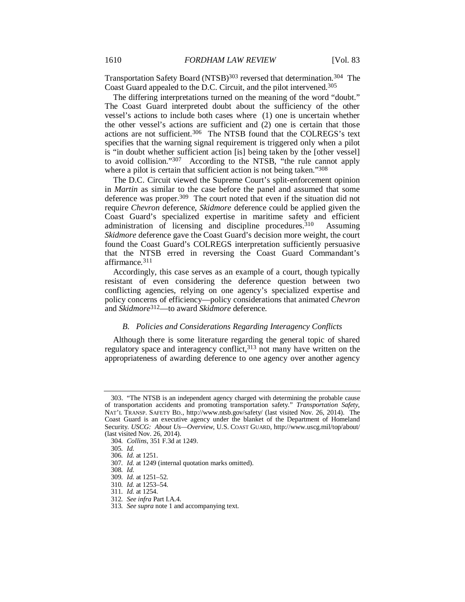Transportation Safety Board (NTSB)303 reversed that determination.304 The Coast Guard appealed to the D.C. Circuit, and the pilot intervened.305

The differing interpretations turned on the meaning of the word "doubt." The Coast Guard interpreted doubt about the sufficiency of the other vessel's actions to include both cases where (1) one is uncertain whether the other vessel's actions are sufficient and (2) one is certain that those actions are not sufficient.306 The NTSB found that the COLREGS's text specifies that the warning signal requirement is triggered only when a pilot is "in doubt whether sufficient action [is] being taken by the [other vessel] to avoid collision."307 According to the NTSB, "the rule cannot apply where a pilot is certain that sufficient action is not being taken."<sup>308</sup>

The D.C. Circuit viewed the Supreme Court's split-enforcement opinion in *Martin* as similar to the case before the panel and assumed that some deference was proper.309 The court noted that even if the situation did not require *Chevron* deference, *Skidmore* deference could be applied given the Coast Guard's specialized expertise in maritime safety and efficient administration of licensing and discipline procedures.<sup>310</sup> Assuming *Skidmore* deference gave the Coast Guard's decision more weight, the court found the Coast Guard's COLREGS interpretation sufficiently persuasive that the NTSB erred in reversing the Coast Guard Commandant's affirmance.311

Accordingly, this case serves as an example of a court, though typically resistant of even considering the deference question between two conflicting agencies, relying on one agency's specialized expertise and policy concerns of efficiency—policy considerations that animated *Chevron* and *Skidmore*312—to award *Skidmore* deference.

## *B. Policies and Considerations Regarding Interagency Conflicts*

Although there is some literature regarding the general topic of shared regulatory space and interagency conflict,<sup>313</sup> not many have written on the appropriateness of awarding deference to one agency over another agency

 <sup>303. &</sup>quot;The NTSB is an independent agency charged with determining the probable cause of transportation accidents and promoting transportation safety." *Transportation Safety*, NAT'L TRANSP. SAFETY BD., http://www.ntsb.gov/safety/ (last visited Nov. 26, 2014). The Coast Guard is an executive agency under the blanket of the Department of Homeland Security. *USCG: About Us—Overview*, U.S. COAST GUARD, http://www.uscg.mil/top/about/ (last visited Nov. 26, 2014).

<sup>304</sup>*. Collins*, 351 F.3d at 1249.

<sup>305</sup>*. Id.*

<sup>306</sup>*. Id.* at 1251.

<sup>307</sup>*. Id.* at 1249 (internal quotation marks omitted).

<sup>308</sup>*. Id.*

<sup>309</sup>*. Id.* at 1251–52.

<sup>310</sup>*. Id.* at 1253–54.

<sup>311</sup>*. Id.* at 1254.

<sup>312</sup>*. See infra* Part I.A.4.

<sup>313</sup>*. See supra* note 1 and accompanying text.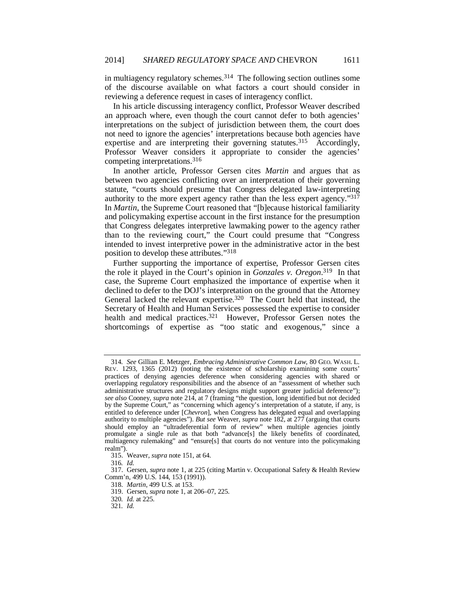in multiagency regulatory schemes.314 The following section outlines some of the discourse available on what factors a court should consider in reviewing a deference request in cases of interagency conflict.

In his article discussing interagency conflict, Professor Weaver described an approach where, even though the court cannot defer to both agencies' interpretations on the subject of jurisdiction between them, the court does not need to ignore the agencies' interpretations because both agencies have expertise and are interpreting their governing statutes.<sup>315</sup> Accordingly, Professor Weaver considers it appropriate to consider the agencies' competing interpretations.316

In another article, Professor Gersen cites *Martin* and argues that as between two agencies conflicting over an interpretation of their governing statute, "courts should presume that Congress delegated law-interpreting authority to the more expert agency rather than the less expert agency."317 In *Martin*, the Supreme Court reasoned that "[b]ecause historical familiarity and policymaking expertise account in the first instance for the presumption that Congress delegates interpretive lawmaking power to the agency rather than to the reviewing court," the Court could presume that "Congress intended to invest interpretive power in the administrative actor in the best position to develop these attributes."318

Further supporting the importance of expertise, Professor Gersen cites the role it played in the Court's opinion in *Gonzales v. Oregon*. 319 In that case, the Supreme Court emphasized the importance of expertise when it declined to defer to the DOJ's interpretation on the ground that the Attorney General lacked the relevant expertise.<sup>320</sup> The Court held that instead, the Secretary of Health and Human Services possessed the expertise to consider health and medical practices.<sup>321</sup> However, Professor Gersen notes the shortcomings of expertise as "too static and exogenous," since a

<sup>314</sup>*. See* Gillian E. Metzger, *Embracing Administrative Common Law*, 80 GEO. WASH. L. REV. 1293, 1365 (2012) (noting the existence of scholarship examining some courts' practices of denying agencies deference when considering agencies with shared or overlapping regulatory responsibilities and the absence of an "assessment of whether such administrative structures and regulatory designs might support greater judicial deference"); *see also* Cooney, *supra* note 214, at 7 (framing "the question, long identified but not decided by the Supreme Court," as "concerning which agency's interpretation of a statute, if any, is entitled to deference under [*Chevron*], when Congress has delegated equal and overlapping authority to multiple agencies"). *But see* Weaver, *supra* note 182, at 277 (arguing that courts should employ an "ultradeferential form of review" when multiple agencies jointly promulgate a single rule as that both "advance[s] the likely benefits of coordinated, multiagency rulemaking" and "ensure[s] that courts do not venture into the policymaking realm").

 <sup>315.</sup> Weaver, *supra* note 151, at 64.

<sup>316</sup>*. Id.*

 <sup>317.</sup> Gersen, *supra* note 1, at 225 (citing Martin v. Occupational Safety & Health Review Comm'n, 499 U.S. 144, 153 (1991)).

 <sup>318.</sup> *Martin*, 499 U.S. at 153.

 <sup>319.</sup> Gersen, *supra* note 1, at 206–07, 225.

<sup>320</sup>*. Id.* at 225.

<sup>321</sup>*. Id.*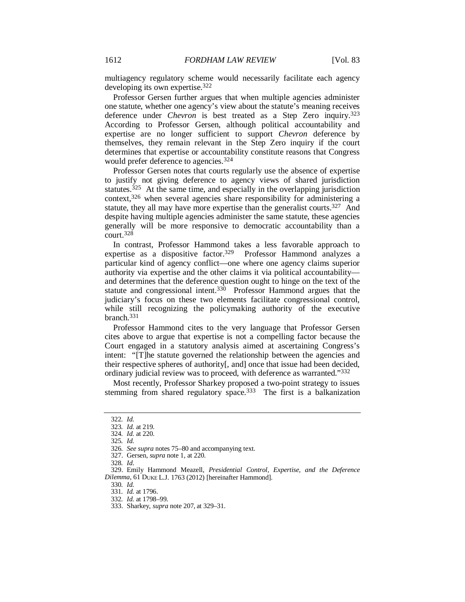multiagency regulatory scheme would necessarily facilitate each agency developing its own expertise.322

Professor Gersen further argues that when multiple agencies administer one statute, whether one agency's view about the statute's meaning receives deference under *Chevron* is best treated as a Step Zero inquiry.323 According to Professor Gersen, although political accountability and expertise are no longer sufficient to support *Chevron* deference by themselves, they remain relevant in the Step Zero inquiry if the court determines that expertise or accountability constitute reasons that Congress would prefer deference to agencies.<sup>324</sup>

Professor Gersen notes that courts regularly use the absence of expertise to justify not giving deference to agency views of shared jurisdiction statutes.<sup>325</sup> At the same time, and especially in the overlapping jurisdiction context,326 when several agencies share responsibility for administering a statute, they all may have more expertise than the generalist courts.<sup>327</sup> And despite having multiple agencies administer the same statute, these agencies generally will be more responsive to democratic accountability than a court.328

In contrast, Professor Hammond takes a less favorable approach to expertise as a dispositive factor.329 Professor Hammond analyzes a particular kind of agency conflict—one where one agency claims superior authority via expertise and the other claims it via political accountability and determines that the deference question ought to hinge on the text of the statute and congressional intent.330 Professor Hammond argues that the judiciary's focus on these two elements facilitate congressional control, while still recognizing the policymaking authority of the executive branch.331

Professor Hammond cites to the very language that Professor Gersen cites above to argue that expertise is not a compelling factor because the Court engaged in a statutory analysis aimed at ascertaining Congress's intent: "[T]he statute governed the relationship between the agencies and their respective spheres of authority[, and] once that issue had been decided, ordinary judicial review was to proceed, with deference as warranted."332

Most recently, Professor Sharkey proposed a two-point strategy to issues stemming from shared regulatory space.<sup>333</sup> The first is a balkanization

330*. Id.*

<sup>322</sup>*. Id.*

<sup>323</sup>*. Id.* at 219. 324*. Id.* at 220.

<sup>325</sup>*. Id.*

<sup>326</sup>*. See supra* notes 75–80 and accompanying text.

 <sup>327.</sup> Gersen, *supra* note 1, at 220.

<sup>328</sup>*. Id*.

 <sup>329.</sup> Emily Hammond Meazell, *Presidential Control, Expertise, and the Deference Dilemma*, 61 DUKE L.J. 1763 (2012) [hereinafter Hammond].

<sup>331</sup>*. Id.* at 1796.

<sup>332</sup>*. Id.* at 1798–99.

 <sup>333.</sup> Sharkey, *supra* note 207, at 329–31.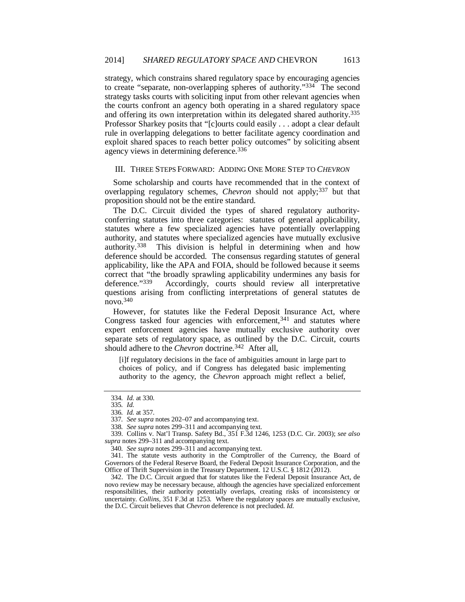strategy, which constrains shared regulatory space by encouraging agencies to create "separate, non-overlapping spheres of authority."334 The second strategy tasks courts with soliciting input from other relevant agencies when the courts confront an agency both operating in a shared regulatory space and offering its own interpretation within its delegated shared authority.335 Professor Sharkey posits that "[c]ourts could easily . . . adopt a clear default rule in overlapping delegations to better facilitate agency coordination and exploit shared spaces to reach better policy outcomes" by soliciting absent agency views in determining deference.336

#### III. THREE STEPS FORWARD: ADDING ONE MORE STEP TO *CHEVRON*

Some scholarship and courts have recommended that in the context of overlapping regulatory schemes, *Chevron* should not apply;<sup>337</sup> but that proposition should not be the entire standard.

The D.C. Circuit divided the types of shared regulatory authorityconferring statutes into three categories: statutes of general applicability, statutes where a few specialized agencies have potentially overlapping authority, and statutes where specialized agencies have mutually exclusive authority.338 This division is helpful in determining when and how deference should be accorded. The consensus regarding statutes of general applicability, like the APA and FOIA, should be followed because it seems correct that "the broadly sprawling applicability undermines any basis for deference."339 Accordingly, courts should review all interpretative questions arising from conflicting interpretations of general statutes de novo.340

However, for statutes like the Federal Deposit Insurance Act, where Congress tasked four agencies with enforcement,  $341$  and statutes where expert enforcement agencies have mutually exclusive authority over separate sets of regulatory space, as outlined by the D.C. Circuit, courts should adhere to the *Chevron* doctrine.<sup>342</sup> After all,

[i]f regulatory decisions in the face of ambiguities amount in large part to choices of policy, and if Congress has delegated basic implementing authority to the agency, the *Chevron* approach might reflect a belief,

340*. See supra* notes 299–311 and accompanying text.

 341. The statute vests authority in the Comptroller of the Currency, the Board of Governors of the Federal Reserve Board, the Federal Deposit Insurance Corporation, and the Office of Thrift Supervision in the Treasury Department. 12 U.S.C. § 1812 (2012).

 342. The D.C. Circuit argued that for statutes like the Federal Deposit Insurance Act, de novo review may be necessary because, although the agencies have specialized enforcement responsibilities, their authority potentially overlaps, creating risks of inconsistency or uncertainty. *Collins*, 351 F.3d at 1253. Where the regulatory spaces are mutually exclusive, the D.C. Circuit believes that *Chevron* deference is not precluded. *Id.*

<sup>334</sup>*. Id.* at 330.

<sup>335</sup>*. Id.*

<sup>336</sup>*. Id.* at 357.

<sup>337</sup>*. See supra* notes 202–07 and accompanying text.

<sup>338</sup>*. See supra* notes 299–311 and accompanying text.

 <sup>339.</sup> Collins v. Nat'l Transp. Safety Bd., 351 F.3d 1246, 1253 (D.C. Cir. 2003); *see also supra* notes 299–311 and accompanying text.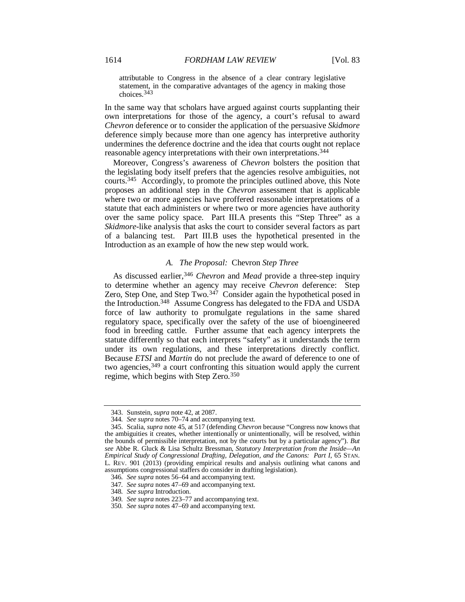attributable to Congress in the absence of a clear contrary legislative statement, in the comparative advantages of the agency in making those choices.<sup>343</sup>

In the same way that scholars have argued against courts supplanting their own interpretations for those of the agency, a court's refusal to award *Chevron* deference or to consider the application of the persuasive *Skidmore* deference simply because more than one agency has interpretive authority undermines the deference doctrine and the idea that courts ought not replace reasonable agency interpretations with their own interpretations.344

Moreover, Congress's awareness of *Chevron* bolsters the position that the legislating body itself prefers that the agencies resolve ambiguities, not courts.345 Accordingly, to promote the principles outlined above, this Note proposes an additional step in the *Chevron* assessment that is applicable where two or more agencies have proffered reasonable interpretations of a statute that each administers or where two or more agencies have authority over the same policy space. Part III.A presents this "Step Three" as a *Skidmore*-like analysis that asks the court to consider several factors as part of a balancing test. Part III.B uses the hypothetical presented in the Introduction as an example of how the new step would work.

## *A. The Proposal:* Chevron *Step Three*

As discussed earlier,<sup>346</sup> *Chevron* and *Mead* provide a three-step inquiry to determine whether an agency may receive *Chevron* deference: Step Zero, Step One, and Step Two.<sup>347</sup> Consider again the hypothetical posed in the Introduction.348 Assume Congress has delegated to the FDA and USDA force of law authority to promulgate regulations in the same shared regulatory space, specifically over the safety of the use of bioengineered food in breeding cattle. Further assume that each agency interprets the statute differently so that each interprets "safety" as it understands the term under its own regulations, and these interpretations directly conflict. Because *ETSI* and *Martin* do not preclude the award of deference to one of two agencies,349 a court confronting this situation would apply the current regime, which begins with Step Zero.350

 <sup>343.</sup> Sunstein, *supra* note 42, at 2087.

<sup>344</sup>*. See supra* notes 70–74 and accompanying text.

 <sup>345.</sup> Scalia, *supra* note 45, at 517 (defending *Chevron* because "Congress now knows that the ambiguities it creates, whether intentionally or unintentionally, will be resolved, within the bounds of permissible interpretation, not by the courts but by a particular agency"). *But see* Abbe R. Gluck & Lisa Schultz Bressman, *Statutory Interpretation from the Inside—An Empirical Study of Congressional Drafting, Delegation, and the Canons: Part I*, 65 STAN. L. REV. 901 (2013) (providing empirical results and analysis outlining what canons and assumptions congressional staffers do consider in drafting legislation).

<sup>346</sup>*. See supra* notes 56–64 and accompanying text.

<sup>347</sup>*. See supra* notes 47–69 and accompanying text.

<sup>348</sup>*. See supra* Introduction.

<sup>349</sup>*. See supra* notes 223–77 and accompanying text.

<sup>350</sup>*. See supra* notes 47–69 and accompanying text.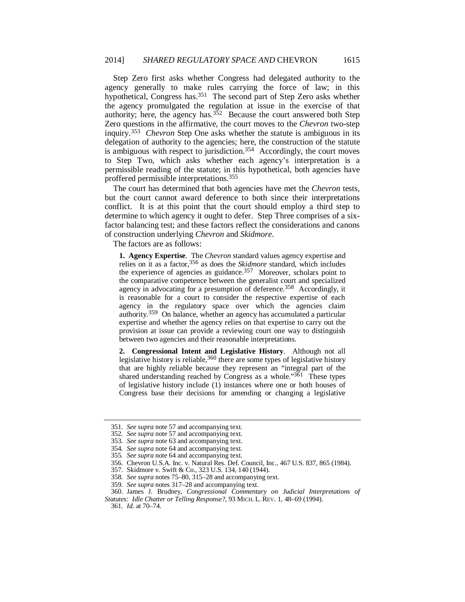Step Zero first asks whether Congress had delegated authority to the agency generally to make rules carrying the force of law; in this hypothetical, Congress has.<sup>351</sup> The second part of Step Zero asks whether the agency promulgated the regulation at issue in the exercise of that authority; here, the agency has. $352$  Because the court answered both Step Zero questions in the affirmative, the court moves to the *Chevron* two-step inquiry.353 *Chevron* Step One asks whether the statute is ambiguous in its delegation of authority to the agencies; here, the construction of the statute is ambiguous with respect to jurisdiction.<sup>354</sup> Accordingly, the court moves to Step Two, which asks whether each agency's interpretation is a permissible reading of the statute; in this hypothetical, both agencies have proffered permissible interpretations.355

The court has determined that both agencies have met the *Chevron* tests, but the court cannot award deference to both since their interpretations conflict. It is at this point that the court should employ a third step to determine to which agency it ought to defer. Step Three comprises of a sixfactor balancing test; and these factors reflect the considerations and canons of construction underlying *Chevron* and *Skidmore*.

The factors are as follows:

**1. Agency Expertise**. The *Chevron* standard values agency expertise and relies on it as a factor,356 as does the *Skidmore* standard, which includes the experience of agencies as guidance.<sup>357</sup> Moreover, scholars point to the comparative competence between the generalist court and specialized agency in advocating for a presumption of deference.<sup>358</sup> Accordingly, it is reasonable for a court to consider the respective expertise of each agency in the regulatory space over which the agencies claim authority.359 On balance, whether an agency has accumulated a particular expertise and whether the agency relies on that expertise to carry out the provision at issue can provide a reviewing court one way to distinguish between two agencies and their reasonable interpretations.

**2. Congressional Intent and Legislative History**. Although not all legislative history is reliable,<sup>360</sup> there are some types of legislative history that are highly reliable because they represent an "integral part of the shared understanding reached by Congress as a whole."361 These types of legislative history include (1) instances where one or both houses of Congress base their decisions for amending or changing a legislative

<sup>351</sup>*. See supra* note 57 and accompanying text.

<sup>352</sup>*. See supra* note 57 and accompanying text.

<sup>353</sup>*. See supra* note 63 and accompanying text.

<sup>354</sup>*. See supra* note 64 and accompanying text.

<sup>355</sup>*. See supra* note 64 and accompanying text.

 <sup>356.</sup> Chevron U.S.A. Inc. v. Natural Res. Def. Council, Inc., 467 U.S. 837, 865 (1984).

 <sup>357.</sup> Skidmore v. Swift & Co., 323 U.S. 134, 140 (1944).

<sup>358</sup>*. See supra* notes 75–80, 315–28 and accompanying text.

<sup>359</sup>*. See supra* notes 317–28 and accompanying text.

 <sup>360.</sup> James J. Brudney, *Congressional Commentary on Judicial Interpretations of Statutes: Idle Chatter or Telling Response?*, 93 MICH. L. REV. 1, 48–69 (1994).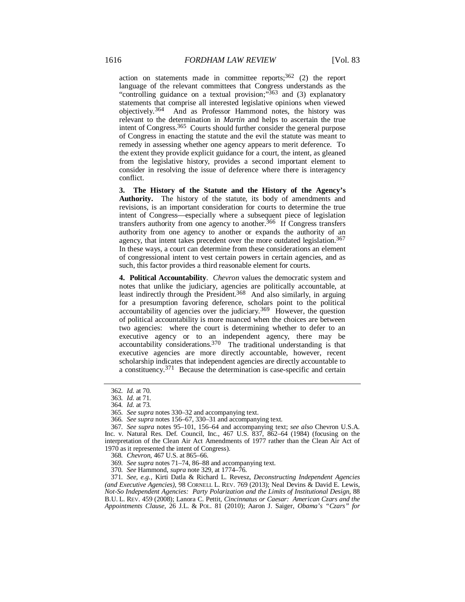action on statements made in committee reports;  $362$  (2) the report language of the relevant committees that Congress understands as the "controlling guidance on a textual provision;" $363$  and (3) explanatory statements that comprise all interested legislative opinions when viewed objectively.364 And as Professor Hammond notes, the history was relevant to the determination in *Martin* and helps to ascertain the true intent of Congress.365 Courts should further consider the general purpose of Congress in enacting the statute and the evil the statute was meant to remedy in assessing whether one agency appears to merit deference. To the extent they provide explicit guidance for a court, the intent, as gleaned from the legislative history, provides a second important element to consider in resolving the issue of deference where there is interagency conflict.

**3. The History of the Statute and the History of the Agency's Authority.** The history of the statute, its body of amendments and revisions, is an important consideration for courts to determine the true intent of Congress—especially where a subsequent piece of legislation transfers authority from one agency to another.366 If Congress transfers authority from one agency to another or expands the authority of an agency, that intent takes precedent over the more outdated legislation.<sup>367</sup> In these ways, a court can determine from these considerations an element of congressional intent to vest certain powers in certain agencies, and as such, this factor provides a third reasonable element for courts.

**4. Political Accountability**. *Chevron* values the democratic system and notes that unlike the judiciary, agencies are politically accountable, at least indirectly through the President.368 And also similarly, in arguing for a presumption favoring deference, scholars point to the political accountability of agencies over the judiciary.<sup>369</sup> However, the question of political accountability is more nuanced when the choices are between two agencies: where the court is determining whether to defer to an executive agency or to an independent agency, there may be accountability considerations.370 The traditional understanding is that executive agencies are more directly accountable, however, recent scholarship indicates that independent agencies are directly accountable to a constituency.371 Because the determination is case-specific and certain

<sup>362</sup>*. Id.* at 70.

<sup>363</sup>*. Id.* at 71.

<sup>364</sup>*. Id.* at 73.

<sup>365</sup>*. See supra* notes 330–32 and accompanying text.

<sup>366</sup>*. See supra* notes 156–67, 330–31 and accompanying text.

<sup>367</sup>*. See supra* notes 95–101, 156–64 and accompanying text; *see also* Chevron U.S.A. Inc. v. Natural Res. Def. Council, Inc., 467 U.S. 837, 862–64 (1984) (focusing on the interpretation of the Clean Air Act Amendments of 1977 rather than the Clean Air Act of 1970 as it represented the intent of Congress).

<sup>368</sup>*. Chevron*, 467 U.S. at 865–66.

<sup>369</sup>*. See supra* notes 71–74, 86–88 and accompanying text.

<sup>370</sup>*. See* Hammond, *supra* note 329, at 1774–76.

<sup>371</sup>*. See, e.g.*, Kirti Datla & Richard L. Revesz, *Deconstructing Independent Agencies (and Executive Agencies)*, 98 CORNELL L. REV. 769 (2013); Neal Devins & David E. Lewis, *Not-So Independent Agencies: Party Polarization and the Limits of Institutional Design*, 88 B.U. L. REV. 459 (2008); Lanora C. Pettit, *Cincinnatus or Caesar: American Czars and the Appointments Clause*, 26 J.L. & POL. 81 (2010); Aaron J. Saiger, *Obama's "Czars" for*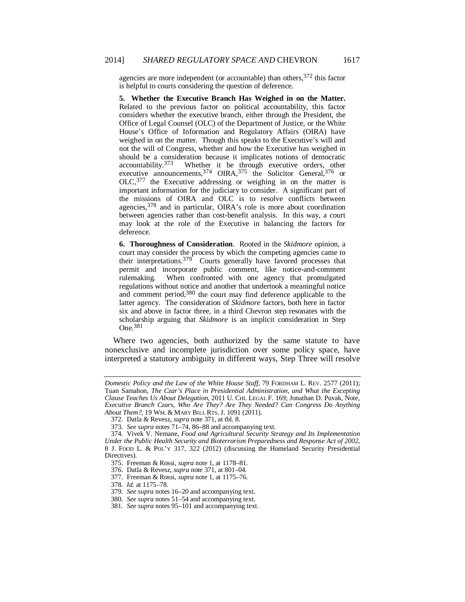agencies are more independent (or accountable) than others, 372 this factor is helpful to courts considering the question of deference.

**5. Whether the Executive Branch Has Weighed in on the Matter.** Related to the previous factor on political accountability, this factor considers whether the executive branch, either through the President, the Office of Legal Counsel (OLC) of the Department of Justice, or the White House's Office of Information and Regulatory Affairs (OIRA) have weighed in on the matter. Though this speaks to the Executive's will and not the will of Congress, whether and how the Executive has weighed in should be a consideration because it implicates notions of democratic accountability.<sup>373</sup> Whether it be through executive orders, other executive announcements,  $374$  OIRA,  $375$  the Solicitor General,  $376$  or OLC,<sup>377</sup> the Executive addressing or weighing in on the matter is important information for the judiciary to consider. A significant part of the missions of OIRA and OLC is to resolve conflicts between agencies,378 and in particular, OIRA's role is more about coordination between agencies rather than cost-benefit analysis. In this way, a court may look at the role of the Executive in balancing the factors for deference.

**6. Thoroughness of Consideration**. Rooted in the *Skidmore* opinion, a court may consider the process by which the competing agencies came to their interpretations.<sup>379</sup> Courts generally have favored processes that permit and incorporate public comment, like notice-and-comment rulemaking. When confronted with one agency that promulgated regulations without notice and another that undertook a meaningful notice and comment period,380 the court may find deference applicable to the latter agency. The consideration of *Skidmore* factors, both here in factor six and above in factor three, in a third Chevron step resonates with the scholarship arguing that *Skidmore* is an implicit consideration in Step One.381

Where two agencies, both authorized by the same statute to have nonexclusive and incomplete jurisdiction over some policy space, have interpreted a statutory ambiguity in different ways, Step Three will resolve

*Domestic Policy and the Law of the White House Staff*, 79 FORDHAM L. REV. 2577 (2011); Tuan Samahon, *The Czar's Place in Presidential Administration, and What the Excepting Clause Teaches Us About Delegation*, 2011 U. CHI. LEGAL F. 169; Jonathan D. Puvak, Note, *Executive Branch Czars, Who Are They? Are They Needed? Can Congress Do Anything About Them?*, 19 WM. & MARY BILL RTS. J. 1091 (2011).

 <sup>372.</sup> Datla & Revesz, *supra* note 371, at tbl. 8.

<sup>373</sup>*. See supra* notes 71–74, 86–88 and accompanying text.

 <sup>374.</sup> Vivek V. Nemane, *Food and Agricultural Security Strategy and Its Implementation Under the Public Health Security and Bioterrorism Preparedness and Response Act of 2002*, 8 J. FOOD L. & POL'Y 317, 322 (2012) (discussing the Homeland Security Presidential Directives).

 <sup>375.</sup> Freeman & Rossi, *supra* note 1, at 1178–81.

 <sup>376.</sup> Datla & Revesz, *supra* note 371, at 801–04.

 <sup>377.</sup> Freeman & Rossi, *supra* note 1, at 1175–76.

<sup>378</sup>*. Id.* at 1175–78.

<sup>379</sup>*. See supra* notes 16–20 and accompanying text.

<sup>380</sup>*. See supra* notes 51–54 and accompanying text.

<sup>381</sup>*. See supra* notes 95–101 and accompanying text.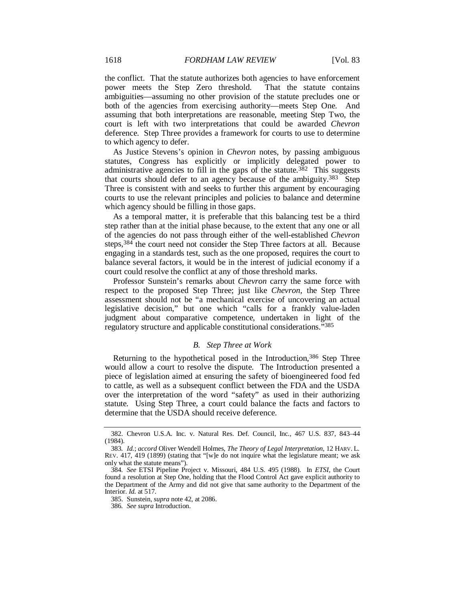the conflict. That the statute authorizes both agencies to have enforcement power meets the Step Zero threshold. That the statute contains ambiguities—assuming no other provision of the statute precludes one or both of the agencies from exercising authority—meets Step One. And assuming that both interpretations are reasonable, meeting Step Two, the court is left with two interpretations that could be awarded *Chevron* deference. Step Three provides a framework for courts to use to determine to which agency to defer.

As Justice Stevens's opinion in *Chevron* notes, by passing ambiguous statutes, Congress has explicitly or implicitly delegated power to administrative agencies to fill in the gaps of the statute.<sup>382</sup> This suggests that courts should defer to an agency because of the ambiguity.383 Step Three is consistent with and seeks to further this argument by encouraging courts to use the relevant principles and policies to balance and determine which agency should be filling in those gaps.

As a temporal matter, it is preferable that this balancing test be a third step rather than at the initial phase because, to the extent that any one or all of the agencies do not pass through either of the well-established *Chevron* steps,384 the court need not consider the Step Three factors at all. Because engaging in a standards test, such as the one proposed, requires the court to balance several factors, it would be in the interest of judicial economy if a court could resolve the conflict at any of those threshold marks.

Professor Sunstein's remarks about *Chevron* carry the same force with respect to the proposed Step Three; just like *Chevron*, the Step Three assessment should not be "a mechanical exercise of uncovering an actual legislative decision," but one which "calls for a frankly value-laden judgment about comparative competence, undertaken in light of the regulatory structure and applicable constitutional considerations."385

## *B. Step Three at Work*

Returning to the hypothetical posed in the Introduction, 386 Step Three would allow a court to resolve the dispute. The Introduction presented a piece of legislation aimed at ensuring the safety of bioengineered food fed to cattle, as well as a subsequent conflict between the FDA and the USDA over the interpretation of the word "safety" as used in their authorizing statute. Using Step Three, a court could balance the facts and factors to determine that the USDA should receive deference.

 <sup>382.</sup> Chevron U.S.A. Inc. v. Natural Res. Def. Council, Inc., 467 U.S. 837, 843–44 (1984).

<sup>383</sup>*. Id.*; *accord* Oliver Wendell Holmes, *The Theory of Legal Interpretation*, 12 HARV. L. REV. 417, 419 (1899) (stating that "[w]e do not inquire what the legislature meant; we ask only what the statute means").

<sup>384</sup>*. See* ETSI Pipeline Project v. Missouri, 484 U.S. 495 (1988). In *ETSI*, the Court found a resolution at Step One, holding that the Flood Control Act gave explicit authority to the Department of the Army and did not give that same authority to the Department of the Interior. *Id.* at 517.

 <sup>385.</sup> Sunstein, *supra* note 42, at 2086.

<sup>386</sup>*. See supra* Introduction.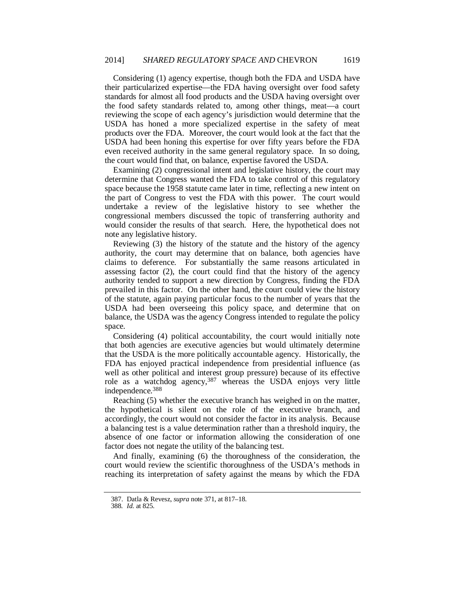Considering (1) agency expertise, though both the FDA and USDA have their particularized expertise—the FDA having oversight over food safety standards for almost all food products and the USDA having oversight over the food safety standards related to, among other things, meat—a court reviewing the scope of each agency's jurisdiction would determine that the USDA has honed a more specialized expertise in the safety of meat products over the FDA. Moreover, the court would look at the fact that the USDA had been honing this expertise for over fifty years before the FDA even received authority in the same general regulatory space. In so doing, the court would find that, on balance, expertise favored the USDA.

Examining (2) congressional intent and legislative history, the court may determine that Congress wanted the FDA to take control of this regulatory space because the 1958 statute came later in time, reflecting a new intent on the part of Congress to vest the FDA with this power. The court would undertake a review of the legislative history to see whether the congressional members discussed the topic of transferring authority and would consider the results of that search. Here, the hypothetical does not note any legislative history.

Reviewing (3) the history of the statute and the history of the agency authority, the court may determine that on balance, both agencies have claims to deference. For substantially the same reasons articulated in assessing factor (2), the court could find that the history of the agency authority tended to support a new direction by Congress, finding the FDA prevailed in this factor. On the other hand, the court could view the history of the statute, again paying particular focus to the number of years that the USDA had been overseeing this policy space, and determine that on balance, the USDA was the agency Congress intended to regulate the policy space.

Considering (4) political accountability, the court would initially note that both agencies are executive agencies but would ultimately determine that the USDA is the more politically accountable agency. Historically, the FDA has enjoyed practical independence from presidential influence (as well as other political and interest group pressure) because of its effective role as a watchdog agency,387 whereas the USDA enjoys very little independence.388

Reaching (5) whether the executive branch has weighed in on the matter, the hypothetical is silent on the role of the executive branch, and accordingly, the court would not consider the factor in its analysis. Because a balancing test is a value determination rather than a threshold inquiry, the absence of one factor or information allowing the consideration of one factor does not negate the utility of the balancing test.

And finally, examining (6) the thoroughness of the consideration, the court would review the scientific thoroughness of the USDA's methods in reaching its interpretation of safety against the means by which the FDA

 <sup>387.</sup> Datla & Revesz, *supra* note 371, at 817–18.

<sup>388</sup>*. Id.* at 825.